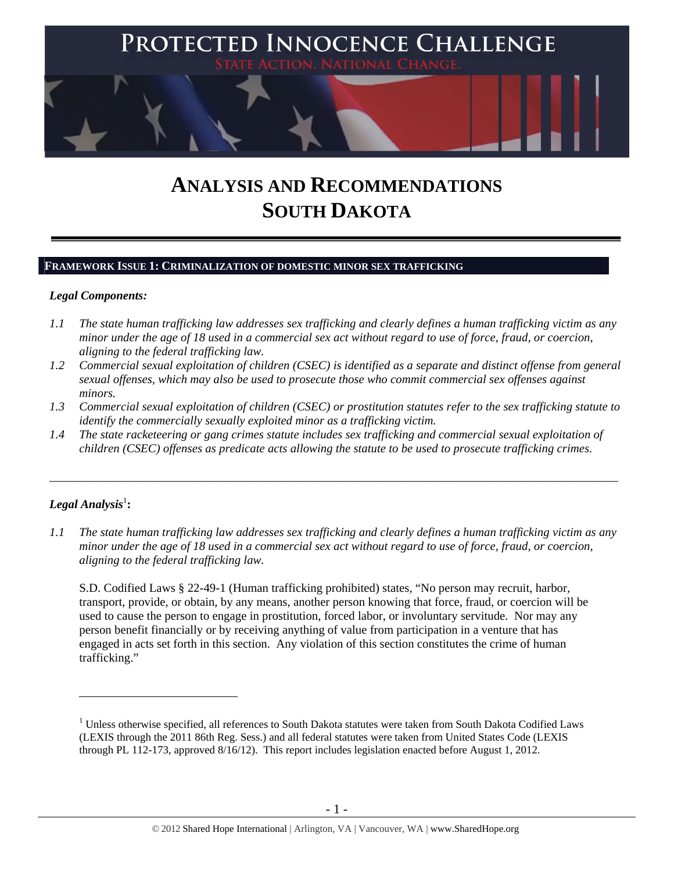

# **ANALYSIS AND RECOMMENDATIONS SOUTH DAKOTA**

## **FRAMEWORK ISSUE 1: CRIMINALIZATION OF DOMESTIC MINOR SEX TRAFFICKING**

## *Legal Components:*

- *1.1 The state human trafficking law addresses sex trafficking and clearly defines a human trafficking victim as any minor under the age of 18 used in a commercial sex act without regard to use of force, fraud, or coercion, aligning to the federal trafficking law.*
- *1.2 Commercial sexual exploitation of children (CSEC) is identified as a separate and distinct offense from general sexual offenses, which may also be used to prosecute those who commit commercial sex offenses against minors.*
- *1.3 Commercial sexual exploitation of children (CSEC) or prostitution statutes refer to the sex trafficking statute to identify the commercially sexually exploited minor as a trafficking victim.*

\_\_\_\_\_\_\_\_\_\_\_\_\_\_\_\_\_\_\_\_\_\_\_\_\_\_\_\_\_\_\_\_\_\_\_\_\_\_\_\_\_\_\_\_\_\_\_\_\_\_\_\_\_\_\_\_\_\_\_\_\_\_\_\_\_\_\_\_\_\_\_\_\_\_\_\_\_\_\_\_\_\_\_\_\_\_\_\_\_\_\_\_\_\_

*1.4 The state racketeering or gang crimes statute includes sex trafficking and commercial sexual exploitation of children (CSEC) offenses as predicate acts allowing the statute to be used to prosecute trafficking crimes.* 

# $\boldsymbol{Legal}$  Analysis<sup>1</sup>:

 $\overline{a}$ 

*1.1 The state human trafficking law addresses sex trafficking and clearly defines a human trafficking victim as any minor under the age of 18 used in a commercial sex act without regard to use of force, fraud, or coercion, aligning to the federal trafficking law.*

S.D. Codified Laws § 22-49-1 (Human trafficking prohibited) states, "No person may recruit, harbor, transport, provide, or obtain, by any means, another person knowing that force, fraud, or coercion will be used to cause the person to engage in prostitution, forced labor, or involuntary servitude. Nor may any person benefit financially or by receiving anything of value from participation in a venture that has engaged in acts set forth in this section. Any violation of this section constitutes the crime of human trafficking."

 $1$  Unless otherwise specified, all references to South Dakota statutes were taken from South Dakota Codified Laws (LEXIS through the 2011 86th Reg. Sess.) and all federal statutes were taken from United States Code (LEXIS through PL 112-173, approved 8/16/12). This report includes legislation enacted before August 1, 2012.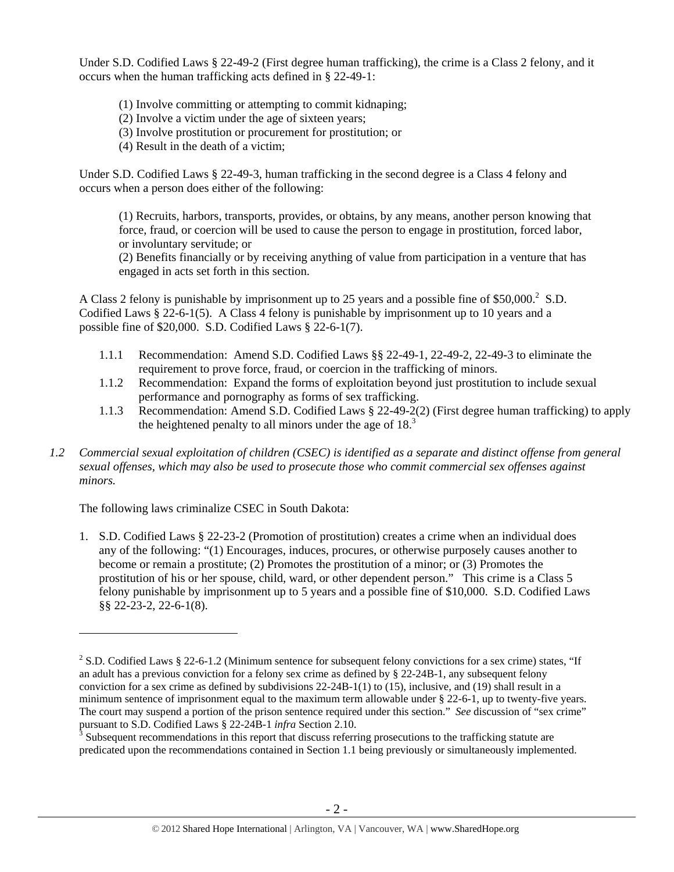Under S.D. Codified Laws § 22-49-2 (First degree human trafficking), the crime is a Class 2 felony, and it occurs when the human trafficking acts defined in § 22-49-1:

- (1) Involve committing or attempting to commit kidnaping;
- (2) Involve a victim under the age of sixteen years;
- (3) Involve prostitution or procurement for prostitution; or
- (4) Result in the death of a victim;

Under S.D. Codified Laws § 22-49-3, human trafficking in the second degree is a Class 4 felony and occurs when a person does either of the following:

(1) Recruits, harbors, transports, provides, or obtains, by any means, another person knowing that force, fraud, or coercion will be used to cause the person to engage in prostitution, forced labor, or involuntary servitude; or

(2) Benefits financially or by receiving anything of value from participation in a venture that has engaged in acts set forth in this section.

A Class 2 felony is punishable by imprisonment up to 25 years and a possible fine of  $$50,000$ <sup>2</sup> S.D. Codified Laws  $\S$  22-6-1(5). A Class 4 felony is punishable by imprisonment up to 10 years and a possible fine of \$20,000. S.D. Codified Laws § 22-6-1(7).

- 1.1.1 Recommendation: Amend S.D. Codified Laws §§ 22-49-1, 22-49-2, 22-49-3 to eliminate the requirement to prove force, fraud, or coercion in the trafficking of minors.
- 1.1.2 Recommendation: Expand the forms of exploitation beyond just prostitution to include sexual performance and pornography as forms of sex trafficking.
- 1.1.3 Recommendation: Amend S.D. Codified Laws § 22-49-2(2) (First degree human trafficking) to apply the heightened penalty to all minors under the age of  $18<sup>3</sup>$
- *1.2 Commercial sexual exploitation of children (CSEC) is identified as a separate and distinct offense from general sexual offenses, which may also be used to prosecute those who commit commercial sex offenses against minors.*

The following laws criminalize CSEC in South Dakota:

 $\overline{a}$ 

1. S.D. Codified Laws § 22-23-2 (Promotion of prostitution) creates a crime when an individual does any of the following: "(1) Encourages, induces, procures, or otherwise purposely causes another to become or remain a prostitute; (2) Promotes the prostitution of a minor; or (3) Promotes the prostitution of his or her spouse, child, ward, or other dependent person." This crime is a Class 5 felony punishable by imprisonment up to 5 years and a possible fine of \$10,000. S.D. Codified Laws §§ 22-23-2, 22-6-1(8).

<sup>&</sup>lt;sup>2</sup> S.D. Codified Laws § 22-6-1.2 (Minimum sentence for subsequent felony convictions for a sex crime) states, "If an adult has a previous conviction for a felony sex crime as defined by § 22-24B-1, any subsequent felony conviction for a sex crime as defined by subdivisions 22-24B-1(1) to (15), inclusive, and (19) shall result in a minimum sentence of imprisonment equal to the maximum term allowable under § 22-6-1, up to twenty-five years. The court may suspend a portion of the prison sentence required under this section." *See* discussion of "sex crime" pursuant to S.D. Codified Laws § 22-24B-1 *infra* Section 2.10.

<sup>&</sup>lt;sup>3</sup> Subsequent recommendations in this report that discuss referring prosecutions to the trafficking statute are predicated upon the recommendations contained in Section 1.1 being previously or simultaneously implemented.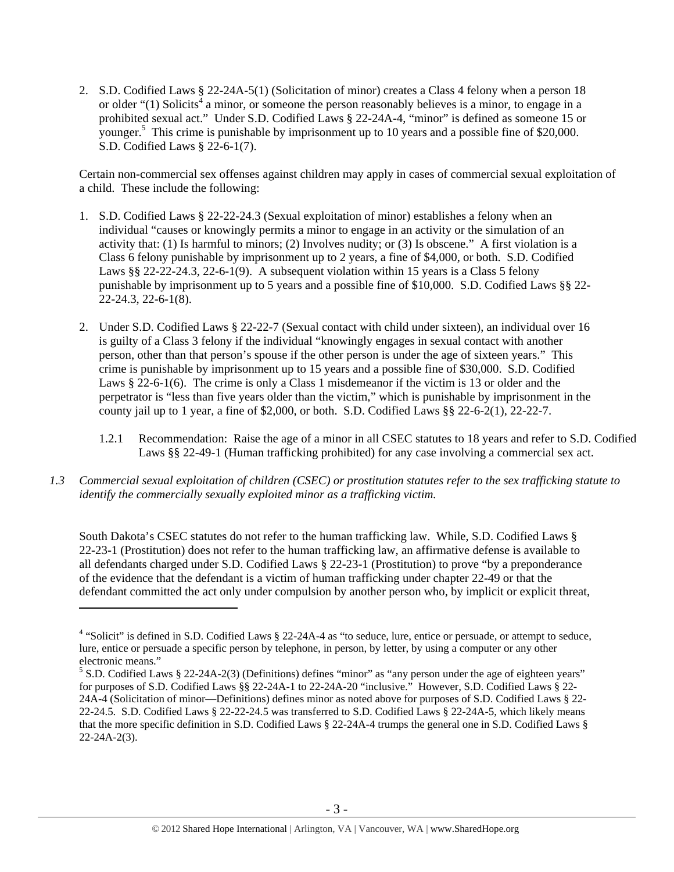2. S.D. Codified Laws § 22-24A-5(1) (Solicitation of minor) creates a Class 4 felony when a person 18 or older " $(1)$  Solicits<sup>4</sup> a minor, or someone the person reasonably believes is a minor, to engage in a prohibited sexual act." Under S.D. Codified Laws § 22-24A-4, "minor" is defined as someone 15 or younger.<sup>5</sup> This crime is punishable by imprisonment up to 10 years and a possible fine of \$20,000. S.D. Codified Laws § 22-6-1(7).

Certain non-commercial sex offenses against children may apply in cases of commercial sexual exploitation of a child. These include the following:

- 1. S.D. Codified Laws § 22-22-24.3 (Sexual exploitation of minor) establishes a felony when an individual "causes or knowingly permits a minor to engage in an activity or the simulation of an activity that: (1) Is harmful to minors; (2) Involves nudity; or (3) Is obscene." A first violation is a Class 6 felony punishable by imprisonment up to 2 years, a fine of \$4,000, or both. S.D. Codified Laws §§ 22-22-24.3, 22-6-1(9). A subsequent violation within 15 years is a Class 5 felony punishable by imprisonment up to 5 years and a possible fine of \$10,000. S.D. Codified Laws §§ 22- 22-24.3, 22-6-1(8).
- 2. Under S.D. Codified Laws § 22-22-7 (Sexual contact with child under sixteen), an individual over 16 is guilty of a Class 3 felony if the individual "knowingly engages in sexual contact with another person, other than that person's spouse if the other person is under the age of sixteen years." This crime is punishable by imprisonment up to 15 years and a possible fine of \$30,000. S.D. Codified Laws § 22-6-1(6). The crime is only a Class 1 misdemeanor if the victim is 13 or older and the perpetrator is "less than five years older than the victim," which is punishable by imprisonment in the county jail up to 1 year, a fine of \$2,000, or both. S.D. Codified Laws §§ 22-6-2(1), 22-22-7.
	- 1.2.1 Recommendation: Raise the age of a minor in all CSEC statutes to 18 years and refer to S.D. Codified Laws §§ 22-49-1 (Human trafficking prohibited) for any case involving a commercial sex act.
- *1.3 Commercial sexual exploitation of children (CSEC) or prostitution statutes refer to the sex trafficking statute to identify the commercially sexually exploited minor as a trafficking victim.*

South Dakota's CSEC statutes do not refer to the human trafficking law. While, S.D. Codified Laws § 22-23-1 (Prostitution) does not refer to the human trafficking law, an affirmative defense is available to all defendants charged under S.D. Codified Laws § 22-23-1 (Prostitution) to prove "by a preponderance of the evidence that the defendant is a victim of human trafficking under chapter 22-49 or that the defendant committed the act only under compulsion by another person who, by implicit or explicit threat,

<sup>&</sup>lt;sup>4</sup> "Solicit" is defined in S.D. Codified Laws § 22-24A-4 as "to seduce, lure, entice or persuade, or attempt to seduce, lure, entice or persuade a specific person by telephone, in person, by letter, by using a computer or any other electronic means."

<sup>&</sup>lt;sup>5</sup> S.D. Codified Laws § 22-24A-2(3) (Definitions) defines "minor" as "any person under the age of eighteen years" for purposes of S.D. Codified Laws §§ 22-24A-1 to 22-24A-20 "inclusive." However, S.D. Codified Laws § 22- 24A-4 (Solicitation of minor—Definitions) defines minor as noted above for purposes of S.D. Codified Laws § 22- 22-24.5. S.D. Codified Laws § 22-22-24.5 was transferred to S.D. Codified Laws § 22-24A-5, which likely means that the more specific definition in S.D. Codified Laws § 22-24A-4 trumps the general one in S.D. Codified Laws § 22-24A-2(3).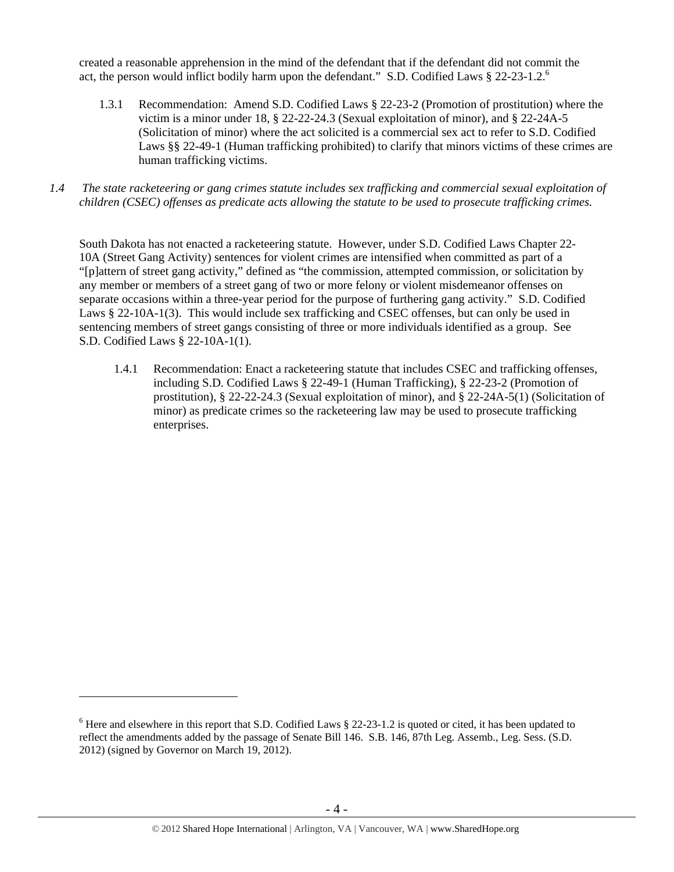created a reasonable apprehension in the mind of the defendant that if the defendant did not commit the act, the person would inflict bodily harm upon the defendant." S.D. Codified Laws § 22-23-1.2.<sup>6</sup>

- 1.3.1 Recommendation: Amend S.D. Codified Laws § 22-23-2 (Promotion of prostitution) where the victim is a minor under 18, § 22-22-24.3 (Sexual exploitation of minor), and § 22-24A-5 (Solicitation of minor) where the act solicited is a commercial sex act to refer to S.D. Codified Laws §§ 22-49-1 (Human trafficking prohibited) to clarify that minors victims of these crimes are human trafficking victims.
- *1.4 The state racketeering or gang crimes statute includes sex trafficking and commercial sexual exploitation of children (CSEC) offenses as predicate acts allowing the statute to be used to prosecute trafficking crimes.*

South Dakota has not enacted a racketeering statute. However, under S.D. Codified Laws Chapter 22- 10A (Street Gang Activity) sentences for violent crimes are intensified when committed as part of a "[p]attern of street gang activity," defined as "the commission, attempted commission, or solicitation by any member or members of a street gang of two or more felony or violent misdemeanor offenses on separate occasions within a three-year period for the purpose of furthering gang activity." S.D. Codified Laws § 22-10A-1(3). This would include sex trafficking and CSEC offenses, but can only be used in sentencing members of street gangs consisting of three or more individuals identified as a group. See S.D. Codified Laws § 22-10A-1(1).

1.4.1 Recommendation: Enact a racketeering statute that includes CSEC and trafficking offenses, including S.D. Codified Laws § 22-49-1 (Human Trafficking), § 22-23-2 (Promotion of prostitution), § 22-22-24.3 (Sexual exploitation of minor), and § 22-24A-5(1) (Solicitation of minor) as predicate crimes so the racketeering law may be used to prosecute trafficking enterprises.

 $6$  Here and elsewhere in this report that S.D. Codified Laws  $\S$  22-23-1.2 is quoted or cited, it has been updated to reflect the amendments added by the passage of Senate Bill 146. S.B. 146, 87th Leg. Assemb., Leg. Sess. (S.D. 2012) (signed by Governor on March 19, 2012).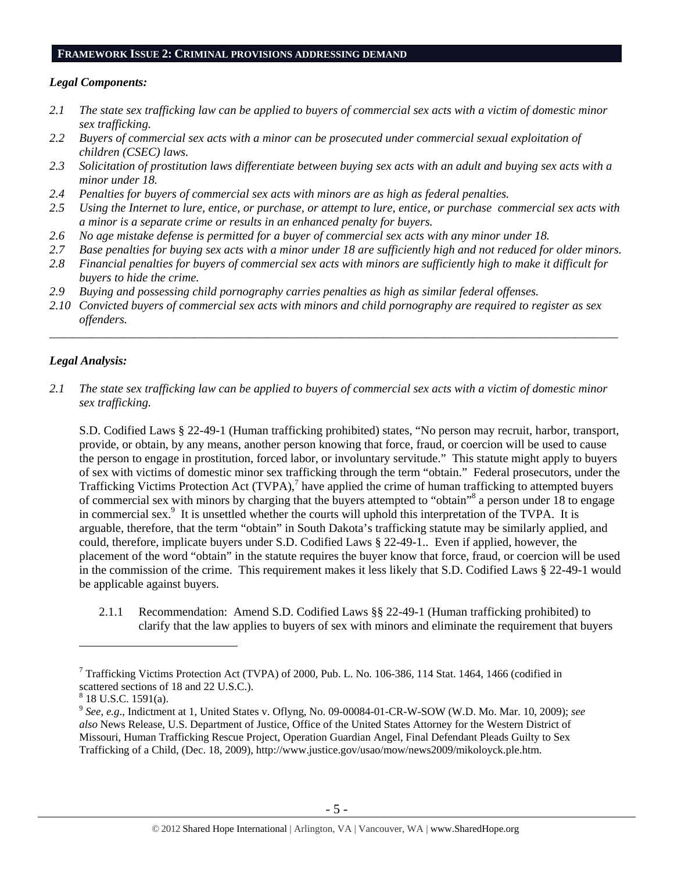#### **FRAMEWORK ISSUE 2: CRIMINAL PROVISIONS ADDRESSING DEMAND**

## *Legal Components:*

- *2.1 The state sex trafficking law can be applied to buyers of commercial sex acts with a victim of domestic minor sex trafficking.*
- *2.2 Buyers of commercial sex acts with a minor can be prosecuted under commercial sexual exploitation of children (CSEC) laws.*
- *2.3 Solicitation of prostitution laws differentiate between buying sex acts with an adult and buying sex acts with a minor under 18.*
- *2.4 Penalties for buyers of commercial sex acts with minors are as high as federal penalties.*
- *2.5 Using the Internet to lure, entice, or purchase, or attempt to lure, entice, or purchase commercial sex acts with a minor is a separate crime or results in an enhanced penalty for buyers.*
- *2.6 No age mistake defense is permitted for a buyer of commercial sex acts with any minor under 18.*
- *2.7 Base penalties for buying sex acts with a minor under 18 are sufficiently high and not reduced for older minors. 2.8 Financial penalties for buyers of commercial sex acts with minors are sufficiently high to make it difficult for*
- *buyers to hide the crime.*
- *2.9 Buying and possessing child pornography carries penalties as high as similar federal offenses.*
- *2.10 Convicted buyers of commercial sex acts with minors and child pornography are required to register as sex offenders.*

\_\_\_\_\_\_\_\_\_\_\_\_\_\_\_\_\_\_\_\_\_\_\_\_\_\_\_\_\_\_\_\_\_\_\_\_\_\_\_\_\_\_\_\_\_\_\_\_\_\_\_\_\_\_\_\_\_\_\_\_\_\_\_\_\_\_\_\_\_\_\_\_\_\_\_\_\_\_\_\_\_\_\_\_\_\_\_\_\_\_\_\_\_\_

# *Legal Analysis:*

*2.1 The state sex trafficking law can be applied to buyers of commercial sex acts with a victim of domestic minor sex trafficking.* 

S.D. Codified Laws § 22-49-1 (Human trafficking prohibited) states, "No person may recruit, harbor, transport, provide, or obtain, by any means, another person knowing that force, fraud, or coercion will be used to cause the person to engage in prostitution, forced labor, or involuntary servitude." This statute might apply to buyers of sex with victims of domestic minor sex trafficking through the term "obtain." Federal prosecutors, under the Trafficking Victims Protection Act (TVPA), $^7$  have applied the crime of human trafficking to attempted buyers of commercial sex with minors by charging that the buyers attempted to "obtain"<sup>8</sup> a person under 18 to engage in commercial sex.<sup>9</sup> It is unsettled whether the courts will uphold this interpretation of the TVPA. It is arguable, therefore, that the term "obtain" in South Dakota's trafficking statute may be similarly applied, and could, therefore, implicate buyers under S.D. Codified Laws § 22-49-1.. Even if applied, however, the placement of the word "obtain" in the statute requires the buyer know that force, fraud, or coercion will be used in the commission of the crime. This requirement makes it less likely that S.D. Codified Laws § 22-49-1 would be applicable against buyers.

2.1.1 Recommendation: Amend S.D. Codified Laws §§ 22-49-1 (Human trafficking prohibited) to clarify that the law applies to buyers of sex with minors and eliminate the requirement that buyers

<sup>&</sup>lt;sup>7</sup> Trafficking Victims Protection Act (TVPA) of 2000, Pub. L. No. 106-386, 114 Stat. 1464, 1466 (codified in scattered sections of 18 and 22 U.S.C.).

<sup>8</sup> 18 U.S.C. 1591(a).

<sup>9</sup> *See, e.g*., Indictment at 1, United States v. Oflyng, No. 09-00084-01-CR-W-SOW (W.D. Mo. Mar. 10, 2009); *see also* News Release, U.S. Department of Justice, Office of the United States Attorney for the Western District of Missouri, Human Trafficking Rescue Project, Operation Guardian Angel, Final Defendant Pleads Guilty to Sex Trafficking of a Child, (Dec. 18, 2009), http://www.justice.gov/usao/mow/news2009/mikoloyck.ple.htm.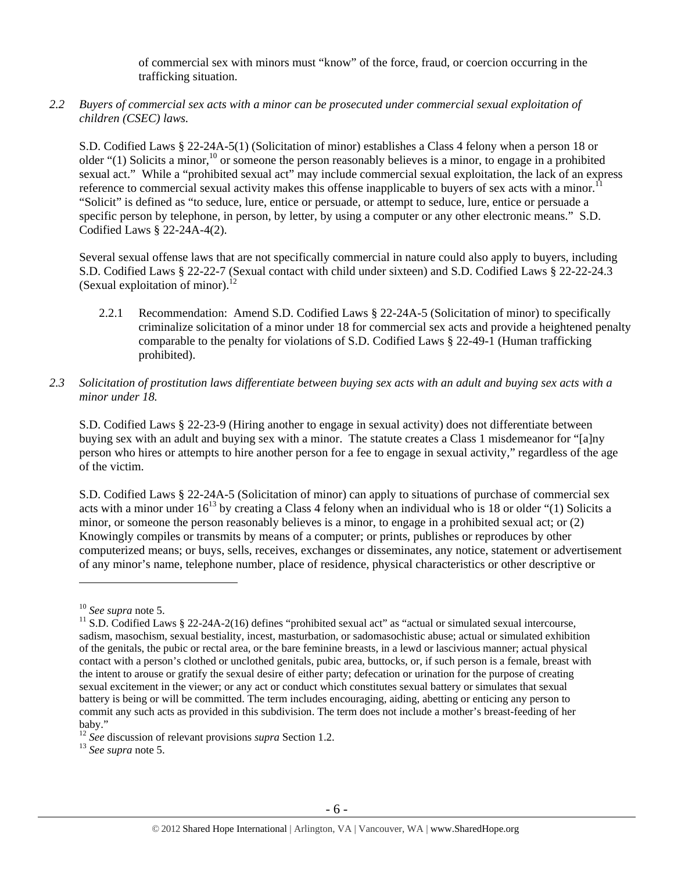of commercial sex with minors must "know" of the force, fraud, or coercion occurring in the trafficking situation.

*2.2 Buyers of commercial sex acts with a minor can be prosecuted under commercial sexual exploitation of children (CSEC) laws.* 

S.D. Codified Laws § 22-24A-5(1) (Solicitation of minor) establishes a Class 4 felony when a person 18 or older "(1) Solicits a minor, <sup>10</sup> or someone the person reasonably believes is a minor, to engage in a prohibited sexual act." While a "prohibited sexual act" may include commercial sexual exploitation, the lack of an express reference to commercial sexual activity makes this offense inapplicable to buyers of sex acts with a minor.<sup>1</sup> "Solicit" is defined as "to seduce, lure, entice or persuade, or attempt to seduce, lure, entice or persuade a specific person by telephone, in person, by letter, by using a computer or any other electronic means." S.D. Codified Laws § 22-24A-4(2).

Several sexual offense laws that are not specifically commercial in nature could also apply to buyers, including S.D. Codified Laws § 22-22-7 (Sexual contact with child under sixteen) and S.D. Codified Laws § 22-22-24.3 (Sexual exploitation of minor). $^{12}$ 

- 2.2.1 Recommendation: Amend S.D. Codified Laws § 22-24A-5 (Solicitation of minor) to specifically criminalize solicitation of a minor under 18 for commercial sex acts and provide a heightened penalty comparable to the penalty for violations of S.D. Codified Laws § 22-49-1 (Human trafficking prohibited).
- *2.3 Solicitation of prostitution laws differentiate between buying sex acts with an adult and buying sex acts with a minor under 18.*

S.D. Codified Laws § 22-23-9 (Hiring another to engage in sexual activity) does not differentiate between buying sex with an adult and buying sex with a minor. The statute creates a Class 1 misdemeanor for "[a]ny person who hires or attempts to hire another person for a fee to engage in sexual activity," regardless of the age of the victim.

S.D. Codified Laws § 22-24A-5 (Solicitation of minor) can apply to situations of purchase of commercial sex acts with a minor under  $16^{13}$  by creating a Class 4 felony when an individual who is 18 or older "(1) Solicits a minor, or someone the person reasonably believes is a minor, to engage in a prohibited sexual act; or (2) Knowingly compiles or transmits by means of a computer; or prints, publishes or reproduces by other computerized means; or buys, sells, receives, exchanges or disseminates, any notice, statement or advertisement of any minor's name, telephone number, place of residence, physical characteristics or other descriptive or

<sup>&</sup>lt;sup>10</sup> *See supra* note 5.<br><sup>11</sup> S.D. Codified Laws § 22-24A-2(16) defines "prohibited sexual act" as "actual or simulated sexual intercourse, sadism, masochism, sexual bestiality, incest, masturbation, or sadomasochistic abuse; actual or simulated exhibition of the genitals, the pubic or rectal area, or the bare feminine breasts, in a lewd or lascivious manner; actual physical contact with a person's clothed or unclothed genitals, pubic area, buttocks, or, if such person is a female, breast with the intent to arouse or gratify the sexual desire of either party; defecation or urination for the purpose of creating sexual excitement in the viewer; or any act or conduct which constitutes sexual battery or simulates that sexual battery is being or will be committed. The term includes encouraging, aiding, abetting or enticing any person to commit any such acts as provided in this subdivision. The term does not include a mother's breast-feeding of her baby."

<sup>12</sup> *See* discussion of relevant provisions *supra* Section 1.2. 13 *See supra* note 5.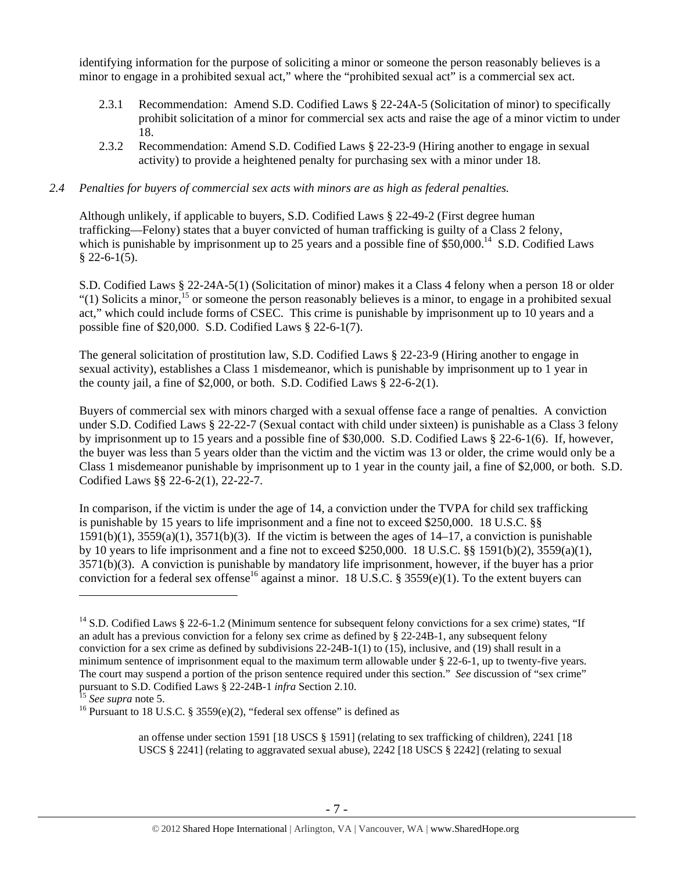identifying information for the purpose of soliciting a minor or someone the person reasonably believes is a minor to engage in a prohibited sexual act," where the "prohibited sexual act" is a commercial sex act.

- 2.3.1 Recommendation: Amend S.D. Codified Laws § 22-24A-5 (Solicitation of minor) to specifically prohibit solicitation of a minor for commercial sex acts and raise the age of a minor victim to under 18.
- 2.3.2 Recommendation: Amend S.D. Codified Laws § 22-23-9 (Hiring another to engage in sexual activity) to provide a heightened penalty for purchasing sex with a minor under 18.

## *2.4 Penalties for buyers of commercial sex acts with minors are as high as federal penalties.*

Although unlikely, if applicable to buyers, S.D. Codified Laws § 22-49-2 (First degree human trafficking—Felony) states that a buyer convicted of human trafficking is guilty of a Class 2 felony, which is punishable by imprisonment up to 25 years and a possible fine of \$50,000.<sup>14</sup> S.D. Codified Laws  $§$  22-6-1(5).

S.D. Codified Laws § 22-24A-5(1) (Solicitation of minor) makes it a Class 4 felony when a person 18 or older "(1) Solicits a minor,<sup>15</sup> or someone the person reasonably believes is a minor, to engage in a prohibited sexual act," which could include forms of CSEC. This crime is punishable by imprisonment up to 10 years and a possible fine of \$20,000. S.D. Codified Laws § 22-6-1(7).

The general solicitation of prostitution law, S.D. Codified Laws § 22-23-9 (Hiring another to engage in sexual activity), establishes a Class 1 misdemeanor, which is punishable by imprisonment up to 1 year in the county jail, a fine of \$2,000, or both. S.D. Codified Laws § 22-6-2(1).

Buyers of commercial sex with minors charged with a sexual offense face a range of penalties. A conviction under S.D. Codified Laws § 22-22-7 (Sexual contact with child under sixteen) is punishable as a Class 3 felony by imprisonment up to 15 years and a possible fine of \$30,000. S.D. Codified Laws § 22-6-1(6). If, however, the buyer was less than 5 years older than the victim and the victim was 13 or older, the crime would only be a Class 1 misdemeanor punishable by imprisonment up to 1 year in the county jail, a fine of \$2,000, or both. S.D. Codified Laws §§ 22-6-2(1), 22-22-7.

In comparison, if the victim is under the age of 14, a conviction under the TVPA for child sex trafficking is punishable by 15 years to life imprisonment and a fine not to exceed \$250,000. 18 U.S.C. §§  $1591(b)(1)$ ,  $3559(a)(1)$ ,  $3571(b)(3)$ . If the victim is between the ages of  $14-17$ , a conviction is punishable by 10 years to life imprisonment and a fine not to exceed \$250,000. 18 U.S.C. §§ 1591(b)(2), 3559(a)(1), 3571(b)(3). A conviction is punishable by mandatory life imprisonment, however, if the buyer has a prior conviction for a federal sex offense<sup>16</sup> against a minor. 18 U.S.C. § 3559(e)(1). To the extent buyers can

<sup>&</sup>lt;sup>14</sup> S.D. Codified Laws § 22-6-1.2 (Minimum sentence for subsequent felony convictions for a sex crime) states, "If an adult has a previous conviction for a felony sex crime as defined by § 22-24B-1, any subsequent felony conviction for a sex crime as defined by subdivisions 22-24B-1(1) to (15), inclusive, and (19) shall result in a minimum sentence of imprisonment equal to the maximum term allowable under § 22-6-1, up to twenty-five years. The court may suspend a portion of the prison sentence required under this section." *See* discussion of "sex crime" pursuant to S.D. Codified Laws § 22-24B-1 *infra* Section 2.10.<br><sup>15</sup> *See supra* note 5.<br><sup>16</sup> Pursuant to 18 U.S.C. § 3559(e)(2), "federal sex offense" is defined as

an offense under section 1591 [18 USCS § 1591] (relating to sex trafficking of children), 2241 [18 USCS § 2241] (relating to aggravated sexual abuse), 2242 [18 USCS § 2242] (relating to sexual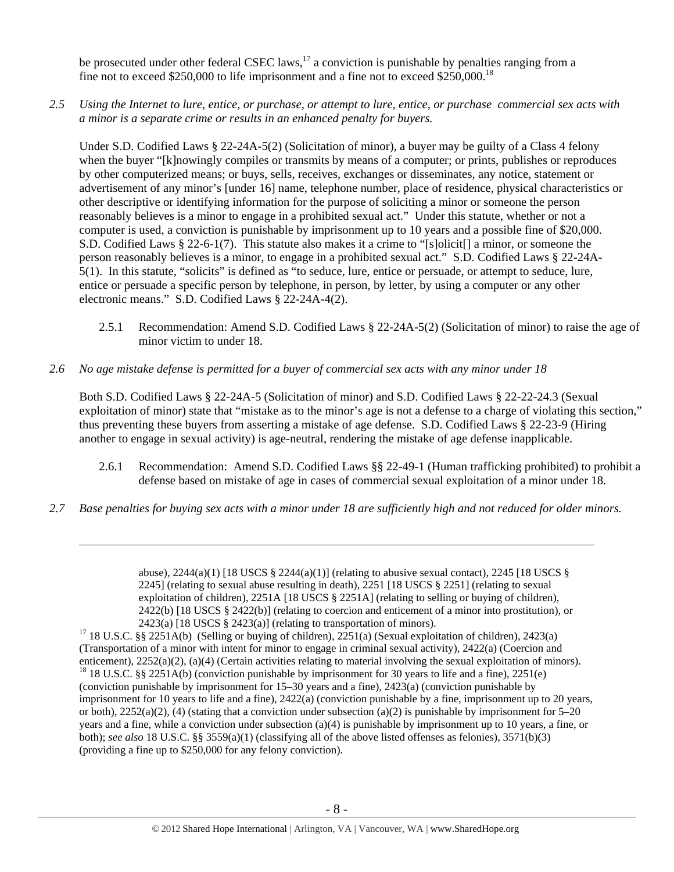be prosecuted under other federal CSEC laws,<sup>17</sup> a conviction is punishable by penalties ranging from a fine not to exceed \$250,000 to life imprisonment and a fine not to exceed \$250,000.18

*2.5 Using the Internet to lure, entice, or purchase, or attempt to lure, entice, or purchase commercial sex acts with a minor is a separate crime or results in an enhanced penalty for buyers.* 

Under S.D. Codified Laws § 22-24A-5(2) (Solicitation of minor), a buyer may be guilty of a Class 4 felony when the buyer "[k]nowingly compiles or transmits by means of a computer; or prints, publishes or reproduces by other computerized means; or buys, sells, receives, exchanges or disseminates, any notice, statement or advertisement of any minor's [under 16] name, telephone number, place of residence, physical characteristics or other descriptive or identifying information for the purpose of soliciting a minor or someone the person reasonably believes is a minor to engage in a prohibited sexual act." Under this statute, whether or not a computer is used, a conviction is punishable by imprisonment up to 10 years and a possible fine of \$20,000. S.D. Codified Laws § 22-6-1(7). This statute also makes it a crime to "[s]olicit[] a minor, or someone the person reasonably believes is a minor, to engage in a prohibited sexual act." S.D. Codified Laws § 22-24A-5(1). In this statute, "solicits" is defined as "to seduce, lure, entice or persuade, or attempt to seduce, lure, entice or persuade a specific person by telephone, in person, by letter, by using a computer or any other electronic means." S.D. Codified Laws § 22-24A-4(2).

- 2.5.1 Recommendation: Amend S.D. Codified Laws § 22-24A-5(2) (Solicitation of minor) to raise the age of minor victim to under 18.
- *2.6 No age mistake defense is permitted for a buyer of commercial sex acts with any minor under 18*

 $\overline{a}$ 

Both S.D. Codified Laws § 22-24A-5 (Solicitation of minor) and S.D. Codified Laws § 22-22-24.3 (Sexual exploitation of minor) state that "mistake as to the minor's age is not a defense to a charge of violating this section," thus preventing these buyers from asserting a mistake of age defense. S.D. Codified Laws § 22-23-9 (Hiring another to engage in sexual activity) is age-neutral, rendering the mistake of age defense inapplicable.

- 2.6.1 Recommendation: Amend S.D. Codified Laws §§ 22-49-1 (Human trafficking prohibited) to prohibit a defense based on mistake of age in cases of commercial sexual exploitation of a minor under 18.
- *2.7 Base penalties for buying sex acts with a minor under 18 are sufficiently high and not reduced for older minors.*

abuse),  $2244(a)(1)$  [18 USCS §  $2244(a)(1)$ ] (relating to abusive sexual contact),  $2245$  [18 USCS § 2245] (relating to sexual abuse resulting in death), 2251 [18 USCS § 2251] (relating to sexual exploitation of children), 2251A [18 USCS § 2251A] (relating to selling or buying of children), 2422(b) [18 USCS § 2422(b)] (relating to coercion and enticement of a minor into prostitution), or 2423(a) [18 USCS § 2423(a)] (relating to transportation of minors).<br><sup>17</sup> 18 U.S.C. §§ 2251A(b) (Selling or buying of children), 2251(a) (Sexual exploitation of children), 2423(a)

(Transportation of a minor with intent for minor to engage in criminal sexual activity), 2422(a) (Coercion and enticement), 2252(a)(2), (a)(4) (Certain activities relating to material involving the sexual exploitation of minors). <sup>18</sup> 18 U.S.C. §§ 2251A(b) (conviction punishable by imprisonment for 30 years to life and a fine), 225 (conviction punishable by imprisonment for 15–30 years and a fine), 2423(a) (conviction punishable by

imprisonment for 10 years to life and a fine), 2422(a) (conviction punishable by a fine, imprisonment up to 20 years, or both),  $2252(a)(2)$ , (4) (stating that a conviction under subsection (a)(2) is punishable by imprisonment for 5–20 years and a fine, while a conviction under subsection (a)(4) is punishable by imprisonment up to 10 years, a fine, or both); *see also* 18 U.S.C. §§ 3559(a)(1) (classifying all of the above listed offenses as felonies), 3571(b)(3) (providing a fine up to \$250,000 for any felony conviction).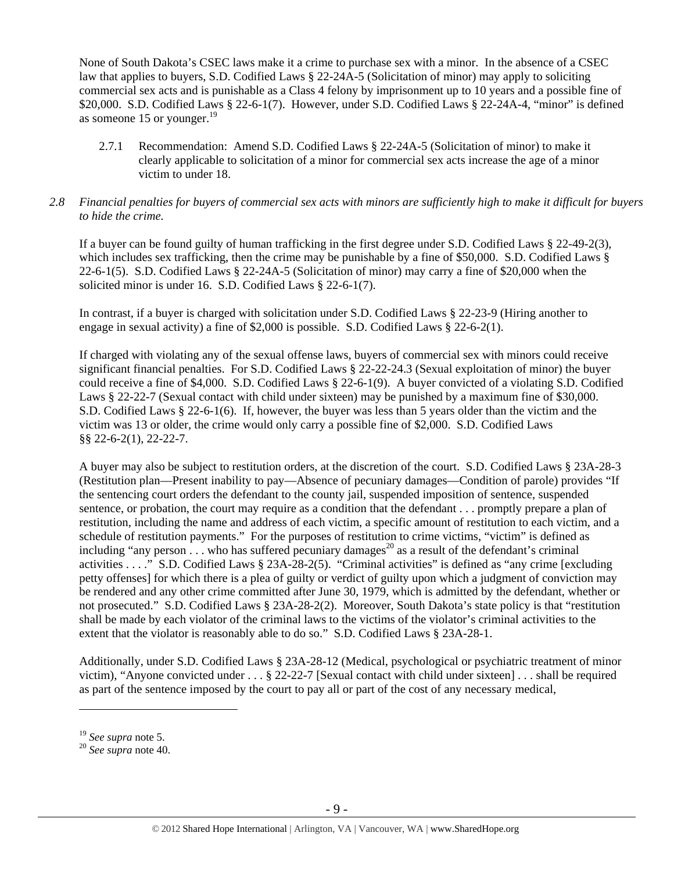None of South Dakota's CSEC laws make it a crime to purchase sex with a minor. In the absence of a CSEC law that applies to buyers, S.D. Codified Laws § 22-24A-5 (Solicitation of minor) may apply to soliciting commercial sex acts and is punishable as a Class 4 felony by imprisonment up to 10 years and a possible fine of \$20,000. S.D. Codified Laws § 22-6-1(7). However, under S.D. Codified Laws § 22-24A-4, "minor" is defined as someone 15 or younger.<sup>19</sup>

2.7.1 Recommendation: Amend S.D. Codified Laws § 22-24A-5 (Solicitation of minor) to make it clearly applicable to solicitation of a minor for commercial sex acts increase the age of a minor victim to under 18.

# *2.8 Financial penalties for buyers of commercial sex acts with minors are sufficiently high to make it difficult for buyers to hide the crime.*

If a buyer can be found guilty of human trafficking in the first degree under S.D. Codified Laws § 22-49-2(3), which includes sex trafficking, then the crime may be punishable by a fine of \$50,000. S.D. Codified Laws § 22-6-1(5). S.D. Codified Laws § 22-24A-5 (Solicitation of minor) may carry a fine of \$20,000 when the solicited minor is under 16. S.D. Codified Laws § 22-6-1(7).

In contrast, if a buyer is charged with solicitation under S.D. Codified Laws § 22-23-9 (Hiring another to engage in sexual activity) a fine of \$2,000 is possible. S.D. Codified Laws  $\S$  22-6-2(1).

If charged with violating any of the sexual offense laws, buyers of commercial sex with minors could receive significant financial penalties. For S.D. Codified Laws § 22-22-24.3 (Sexual exploitation of minor) the buyer could receive a fine of \$4,000. S.D. Codified Laws § 22-6-1(9). A buyer convicted of a violating S.D. Codified Laws § 22-22-7 (Sexual contact with child under sixteen) may be punished by a maximum fine of \$30,000. S.D. Codified Laws § 22-6-1(6). If, however, the buyer was less than 5 years older than the victim and the victim was 13 or older, the crime would only carry a possible fine of \$2,000. S.D. Codified Laws §§ 22-6-2(1), 22-22-7.

A buyer may also be subject to restitution orders, at the discretion of the court. S.D. Codified Laws § 23A-28-3 (Restitution plan—Present inability to pay—Absence of pecuniary damages—Condition of parole) provides "If the sentencing court orders the defendant to the county jail, suspended imposition of sentence, suspended sentence, or probation, the court may require as a condition that the defendant . . . promptly prepare a plan of restitution, including the name and address of each victim, a specific amount of restitution to each victim, and a schedule of restitution payments." For the purposes of restitution to crime victims, "victim" is defined as including "any person  $\dots$  who has suffered pecuniary damages<sup>20</sup> as a result of the defendant's criminal activities . . . ." S.D. Codified Laws § 23A-28-2(5). "Criminal activities" is defined as "any crime [excluding petty offenses] for which there is a plea of guilty or verdict of guilty upon which a judgment of conviction may be rendered and any other crime committed after June 30, 1979, which is admitted by the defendant, whether or not prosecuted." S.D. Codified Laws § 23A-28-2(2). Moreover, South Dakota's state policy is that "restitution shall be made by each violator of the criminal laws to the victims of the violator's criminal activities to the extent that the violator is reasonably able to do so." S.D. Codified Laws § 23A-28-1.

Additionally, under S.D. Codified Laws § 23A-28-12 (Medical, psychological or psychiatric treatment of minor victim), "Anyone convicted under . . . § 22-22-7 [Sexual contact with child under sixteen] . . . shall be required as part of the sentence imposed by the court to pay all or part of the cost of any necessary medical,

<sup>19</sup> *See supra* note 5. 20 *See supra* note 40.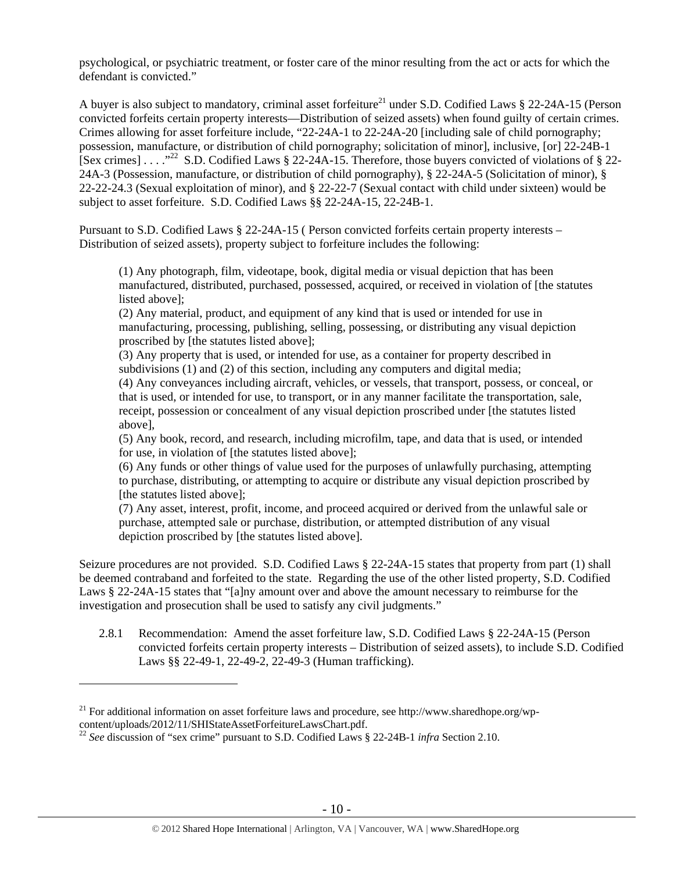psychological, or psychiatric treatment, or foster care of the minor resulting from the act or acts for which the defendant is convicted."

A buyer is also subject to mandatory, criminal asset forfeiture<sup>21</sup> under S.D. Codified Laws § 22-24A-15 (Person convicted forfeits certain property interests—Distribution of seized assets) when found guilty of certain crimes. Crimes allowing for asset forfeiture include, "22-24A-1 to 22-24A-20 [including sale of child pornography; possession, manufacture, or distribution of child pornography; solicitation of minor], inclusive, [or] 22-24B-1  $[Sex\, crimes] \ldots$ ."<sup>22</sup> S.D. Codified Laws § 22-24A-15. Therefore, those buyers convicted of violations of § 22-24A-3 (Possession, manufacture, or distribution of child pornography), § 22-24A-5 (Solicitation of minor), § 22-22-24.3 (Sexual exploitation of minor), and § 22-22-7 (Sexual contact with child under sixteen) would be subject to asset forfeiture. S.D. Codified Laws §§ 22-24A-15, 22-24B-1.

Pursuant to S.D. Codified Laws § 22-24A-15 ( Person convicted forfeits certain property interests – Distribution of seized assets), property subject to forfeiture includes the following:

(1) Any photograph, film, videotape, book, digital media or visual depiction that has been manufactured, distributed, purchased, possessed, acquired, or received in violation of [the statutes listed above];

(2) Any material, product, and equipment of any kind that is used or intended for use in manufacturing, processing, publishing, selling, possessing, or distributing any visual depiction proscribed by [the statutes listed above];

(3) Any property that is used, or intended for use, as a container for property described in subdivisions (1) and (2) of this section, including any computers and digital media;

(4) Any conveyances including aircraft, vehicles, or vessels, that transport, possess, or conceal, or that is used, or intended for use, to transport, or in any manner facilitate the transportation, sale, receipt, possession or concealment of any visual depiction proscribed under [the statutes listed above],

(5) Any book, record, and research, including microfilm, tape, and data that is used, or intended for use, in violation of [the statutes listed above];

(6) Any funds or other things of value used for the purposes of unlawfully purchasing, attempting to purchase, distributing, or attempting to acquire or distribute any visual depiction proscribed by [the statutes listed above];

(7) Any asset, interest, profit, income, and proceed acquired or derived from the unlawful sale or purchase, attempted sale or purchase, distribution, or attempted distribution of any visual depiction proscribed by [the statutes listed above].

Seizure procedures are not provided. S.D. Codified Laws § 22-24A-15 states that property from part (1) shall be deemed contraband and forfeited to the state. Regarding the use of the other listed property, S.D. Codified Laws § 22-24A-15 states that "[a]ny amount over and above the amount necessary to reimburse for the investigation and prosecution shall be used to satisfy any civil judgments."

2.8.1 Recommendation: Amend the asset forfeiture law, S.D. Codified Laws § 22-24A-15 (Person convicted forfeits certain property interests – Distribution of seized assets), to include S.D. Codified Laws §§ 22-49-1, 22-49-2, 22-49-3 (Human trafficking).

<sup>&</sup>lt;sup>21</sup> For additional information on asset forfeiture laws and procedure, see http://www.sharedhope.org/wp-content/uploads/2012/11/SHIStateAssetForfeitureLawsChart.pdf.

<sup>&</sup>lt;sup>22</sup> See discussion of "sex crime" pursuant to S.D. Codified Laws § 22-24B-1 *infra* Section 2.10.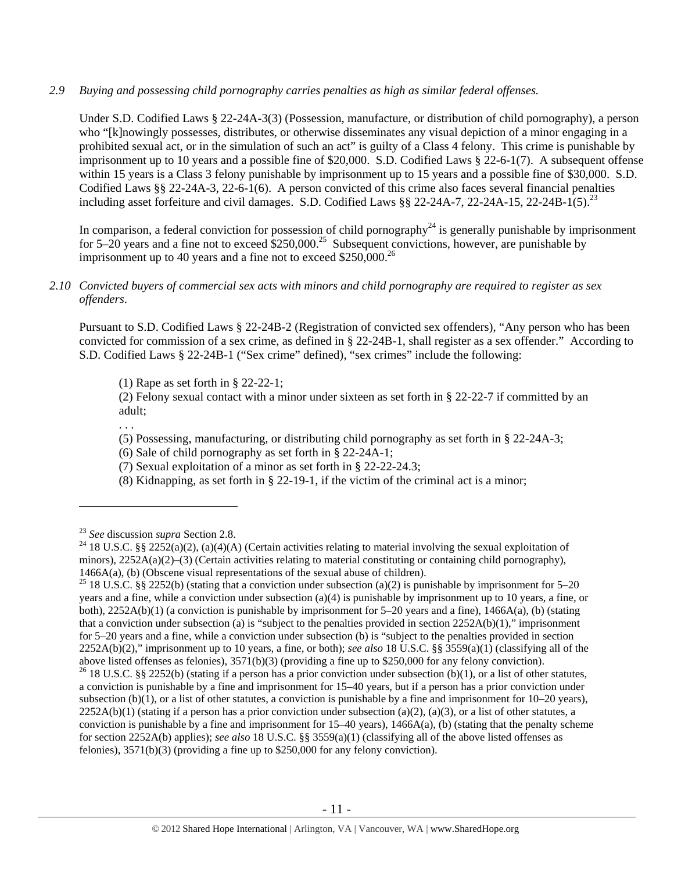# *2.9 Buying and possessing child pornography carries penalties as high as similar federal offenses.*

Under S.D. Codified Laws § 22-24A-3(3) (Possession, manufacture, or distribution of child pornography), a person who "[k]nowingly possesses, distributes, or otherwise disseminates any visual depiction of a minor engaging in a prohibited sexual act, or in the simulation of such an act" is guilty of a Class 4 felony. This crime is punishable by imprisonment up to 10 years and a possible fine of \$20,000. S.D. Codified Laws § 22-6-1(7). A subsequent offense within 15 years is a Class 3 felony punishable by imprisonment up to 15 years and a possible fine of \$30,000. S.D. Codified Laws §§ 22-24A-3, 22-6-1(6). A person convicted of this crime also faces several financial penalties including asset forfeiture and civil damages. S.D. Codified Laws §§ 22-24A-7, 22-24A-15, 22-24B-1(5).<sup>23</sup>

In comparison, a federal conviction for possession of child pornography<sup>24</sup> is generally punishable by imprisonment for 5–20 years and a fine not to exceed  $$250,000.<sup>25</sup>$  Subsequent convictions, however, are punishable by imprisonment up to 40 years and a fine not to exceed  $$250,000.<sup>26</sup>$ 

# *2.10 Convicted buyers of commercial sex acts with minors and child pornography are required to register as sex offenders*.

Pursuant to S.D. Codified Laws § 22-24B-2 (Registration of convicted sex offenders), "Any person who has been convicted for commission of a sex crime, as defined in § 22-24B-1, shall register as a sex offender." According to S.D. Codified Laws § 22-24B-1 ("Sex crime" defined), "sex crimes" include the following:

(1) Rape as set forth in § 22-22-1;

(2) Felony sexual contact with a minor under sixteen as set forth in § 22-22-7 if committed by an adult;

(5) Possessing, manufacturing, or distributing child pornography as set forth in § 22-24A-3;

(6) Sale of child pornography as set forth in § 22-24A-1;

(7) Sexual exploitation of a minor as set forth in § 22-22-24.3;

(8) Kidnapping, as set forth in § 22-19-1, if the victim of the criminal act is a minor;

. . .

<sup>&</sup>lt;sup>23</sup> *See* discussion *supra* Section 2.8.<br><sup>24</sup> 18 U.S.C. §§ 2252(a)(2), (a)(4)(A) (Certain activities relating to material involving the sexual exploitation of minors),  $2252A(a)(2)$ –(3) (Certain activities relating to material constituting or containing child pornography), 1466A(a), (b) (Obscene visual representations of the sexual abuse of children).

<sup>&</sup>lt;sup>25</sup> 18 U.S.C. §§ 2252(b) (stating that a conviction under subsection (a)(2) is punishable by imprisonment for 5–20 years and a fine, while a conviction under subsection (a)(4) is punishable by imprisonment up to 10 years, a fine, or both), 2252A(b)(1) (a conviction is punishable by imprisonment for 5–20 years and a fine), 1466A(a), (b) (stating that a conviction under subsection (a) is "subject to the penalties provided in section  $2252A(b)(1)$ ," imprisonment for 5–20 years and a fine, while a conviction under subsection (b) is "subject to the penalties provided in section 2252A(b)(2)," imprisonment up to 10 years, a fine, or both); *see also* 18 U.S.C. §§ 3559(a)(1) (classifying all of the above listed offenses as felonies), 3571(b)(3) (providing a fine up to \$250,000 for any felony conviction).

<sup>&</sup>lt;sup>26</sup> 18 U.S.C. §§ 2252(b) (stating if a person has a prior conviction under subsection (b)(1), or a list of other statutes, a conviction is punishable by a fine and imprisonment for 15–40 years, but if a person has a prior conviction under subsection  $(b)(1)$ , or a list of other statutes, a conviction is punishable by a fine and imprisonment for  $10-20$  years),  $2252A(b)(1)$  (stating if a person has a prior conviction under subsection (a)(2), (a)(3), or a list of other statutes, a conviction is punishable by a fine and imprisonment for  $15-40$  years),  $1466A(a)$ , (b) (stating that the penalty scheme for section 2252A(b) applies); *see also* 18 U.S.C. §§ 3559(a)(1) (classifying all of the above listed offenses as felonies), 3571(b)(3) (providing a fine up to \$250,000 for any felony conviction).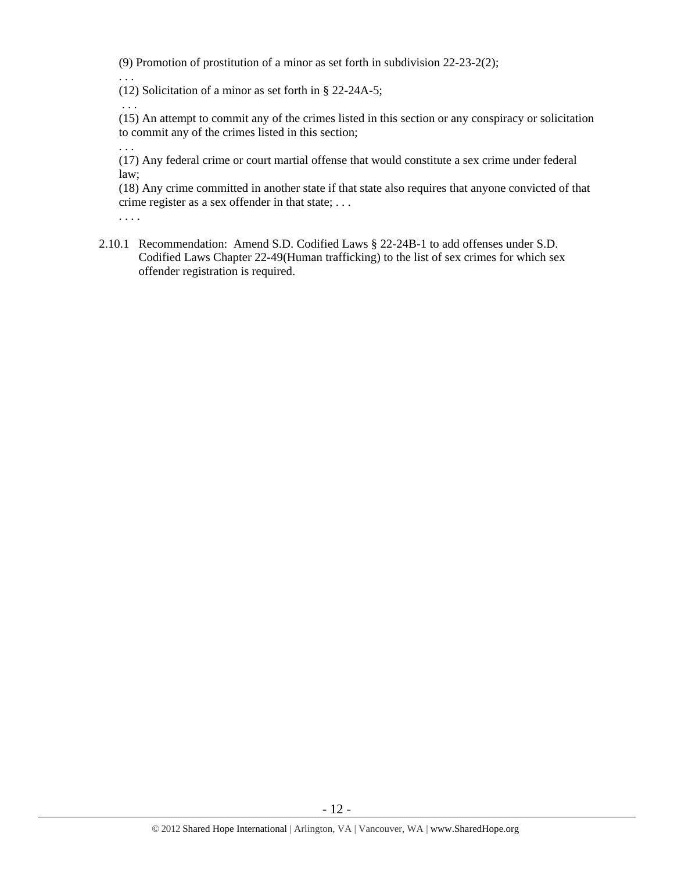(9) Promotion of prostitution of a minor as set forth in subdivision 22-23-2(2);

(12) Solicitation of a minor as set forth in § 22-24A-5;

(15) An attempt to commit any of the crimes listed in this section or any conspiracy or solicitation to commit any of the crimes listed in this section;

(17) Any federal crime or court martial offense that would constitute a sex crime under federal law;

(18) Any crime committed in another state if that state also requires that anyone convicted of that crime register as a sex offender in that state; . . .

. . . .

. . .

. . .

. . .

2.10.1 Recommendation: Amend S.D. Codified Laws § 22-24B-1 to add offenses under S.D. Codified Laws Chapter 22-49(Human trafficking) to the list of sex crimes for which sex offender registration is required.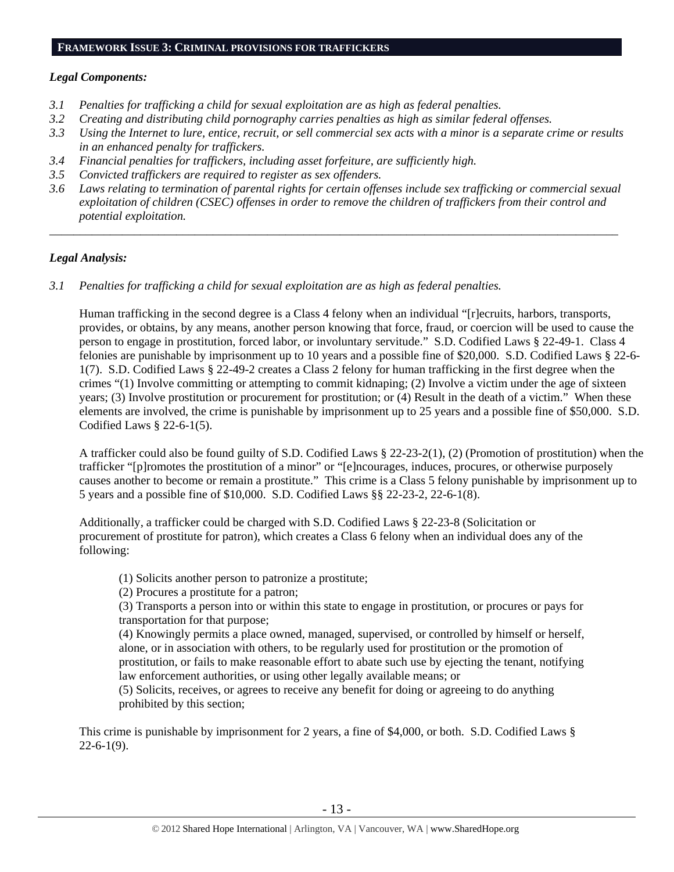#### **FRAMEWORK ISSUE 3: CRIMINAL PROVISIONS FOR TRAFFICKERS**

## *Legal Components:*

- *3.1 Penalties for trafficking a child for sexual exploitation are as high as federal penalties.*
- *3.2 Creating and distributing child pornography carries penalties as high as similar federal offenses.*
- *3.3 Using the Internet to lure, entice, recruit, or sell commercial sex acts with a minor is a separate crime or results in an enhanced penalty for traffickers.*
- *3.4 Financial penalties for traffickers, including asset forfeiture, are sufficiently high.*
- *3.5 Convicted traffickers are required to register as sex offenders.*
- *3.6 Laws relating to termination of parental rights for certain offenses include sex trafficking or commercial sexual exploitation of children (CSEC) offenses in order to remove the children of traffickers from their control and potential exploitation.*

*\_\_\_\_\_\_\_\_\_\_\_\_\_\_\_\_\_\_\_\_\_\_\_\_\_\_\_\_\_\_\_\_\_\_\_\_\_\_\_\_\_\_\_\_\_\_\_\_\_\_\_\_\_\_\_\_\_\_\_\_\_\_\_\_\_\_\_\_\_\_\_\_\_\_\_\_\_\_\_\_\_\_\_\_\_\_\_\_\_\_\_\_\_\_* 

# *Legal Analysis:*

*3.1 Penalties for trafficking a child for sexual exploitation are as high as federal penalties.* 

Human trafficking in the second degree is a Class 4 felony when an individual "[r]ecruits, harbors, transports, provides, or obtains, by any means, another person knowing that force, fraud, or coercion will be used to cause the person to engage in prostitution, forced labor, or involuntary servitude." S.D. Codified Laws § 22-49-1. Class 4 felonies are punishable by imprisonment up to 10 years and a possible fine of \$20,000. S.D. Codified Laws § 22-6- 1(7). S.D. Codified Laws § 22-49-2 creates a Class 2 felony for human trafficking in the first degree when the crimes "(1) Involve committing or attempting to commit kidnaping; (2) Involve a victim under the age of sixteen years; (3) Involve prostitution or procurement for prostitution; or (4) Result in the death of a victim." When these elements are involved, the crime is punishable by imprisonment up to 25 years and a possible fine of \$50,000. S.D. Codified Laws § 22-6-1(5).

A trafficker could also be found guilty of S.D. Codified Laws § 22-23-2(1), (2) (Promotion of prostitution) when the trafficker "[p]romotes the prostitution of a minor" or "[e]ncourages, induces, procures, or otherwise purposely causes another to become or remain a prostitute." This crime is a Class 5 felony punishable by imprisonment up to 5 years and a possible fine of \$10,000. S.D. Codified Laws §§ 22-23-2, 22-6-1(8).

Additionally, a trafficker could be charged with S.D. Codified Laws § 22-23-8 (Solicitation or procurement of prostitute for patron), which creates a Class 6 felony when an individual does any of the following:

(1) Solicits another person to patronize a prostitute;

(2) Procures a prostitute for a patron;

(3) Transports a person into or within this state to engage in prostitution, or procures or pays for transportation for that purpose;

(4) Knowingly permits a place owned, managed, supervised, or controlled by himself or herself, alone, or in association with others, to be regularly used for prostitution or the promotion of prostitution, or fails to make reasonable effort to abate such use by ejecting the tenant, notifying law enforcement authorities, or using other legally available means; or

(5) Solicits, receives, or agrees to receive any benefit for doing or agreeing to do anything prohibited by this section;

This crime is punishable by imprisonment for 2 years, a fine of \$4,000, or both. S.D. Codified Laws § 22-6-1(9).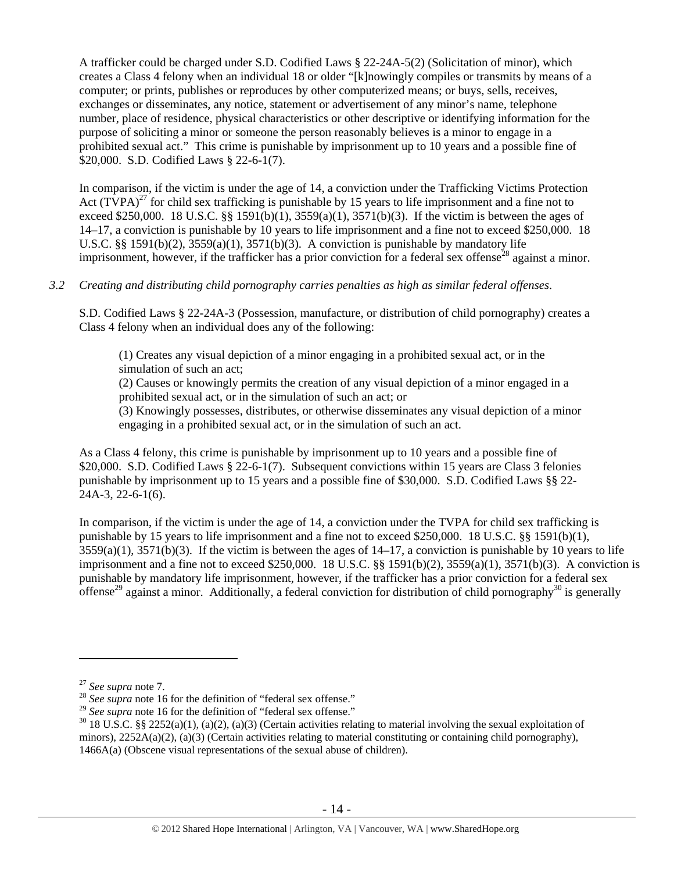A trafficker could be charged under S.D. Codified Laws § 22-24A-5(2) (Solicitation of minor), which creates a Class 4 felony when an individual 18 or older "[k]nowingly compiles or transmits by means of a computer; or prints, publishes or reproduces by other computerized means; or buys, sells, receives, exchanges or disseminates, any notice, statement or advertisement of any minor's name, telephone number, place of residence, physical characteristics or other descriptive or identifying information for the purpose of soliciting a minor or someone the person reasonably believes is a minor to engage in a prohibited sexual act." This crime is punishable by imprisonment up to 10 years and a possible fine of \$20,000. S.D. Codified Laws § 22-6-1(7).

In comparison, if the victim is under the age of 14, a conviction under the Trafficking Victims Protection Act (TVPA)<sup>27</sup> for child sex trafficking is punishable by 15 years to life imprisonment and a fine not to exceed \$250,000. 18 U.S.C. §§ 1591(b)(1),  $3559(a)(1)$ ,  $3571(b)(3)$ . If the victim is between the ages of 14–17, a conviction is punishable by 10 years to life imprisonment and a fine not to exceed \$250,000. 18 U.S.C. §§ 1591(b)(2),  $3559(a)(1)$ ,  $3571(b)(3)$ . A conviction is punishable by mandatory life imprisonment, however, if the trafficker has a prior conviction for a federal sex offense<sup>28</sup> against a minor.

# *3.2 Creating and distributing child pornography carries penalties as high as similar federal offenses*.

S.D. Codified Laws § 22-24A-3 (Possession, manufacture, or distribution of child pornography) creates a Class 4 felony when an individual does any of the following:

(1) Creates any visual depiction of a minor engaging in a prohibited sexual act, or in the simulation of such an act;

(2) Causes or knowingly permits the creation of any visual depiction of a minor engaged in a prohibited sexual act, or in the simulation of such an act; or

(3) Knowingly possesses, distributes, or otherwise disseminates any visual depiction of a minor engaging in a prohibited sexual act, or in the simulation of such an act.

As a Class 4 felony, this crime is punishable by imprisonment up to 10 years and a possible fine of \$20,000. S.D. Codified Laws § 22-6-1(7). Subsequent convictions within 15 years are Class 3 felonies punishable by imprisonment up to 15 years and a possible fine of \$30,000. S.D. Codified Laws §§ 22- 24A-3, 22-6-1(6).

In comparison, if the victim is under the age of 14, a conviction under the TVPA for child sex trafficking is punishable by 15 years to life imprisonment and a fine not to exceed \$250,000. 18 U.S.C. §§ 1591(b)(1),  $3559(a)(1)$ ,  $3571(b)(3)$ . If the victim is between the ages of  $14-17$ , a conviction is punishable by 10 years to life imprisonment and a fine not to exceed \$250,000. 18 U.S.C. §§ 1591(b)(2), 3559(a)(1), 3571(b)(3). A conviction is punishable by mandatory life imprisonment, however, if the trafficker has a prior conviction for a federal sex offense<sup>29</sup> against a minor. Additionally, a federal conviction for distribution of child pornography<sup>30</sup> is generally

<sup>&</sup>lt;sup>27</sup> *See supra* note 7.<br><sup>28</sup> *See supra* note 16 for the definition of "federal sex offense."<br><sup>29</sup> *See supra* note 16 for the definition of "federal sex offense."

<sup>&</sup>lt;sup>30</sup> 18 U.S.C. §§ 2252(a)(1), (a)(2), (a)(3) (Certain activities relating to material involving the sexual exploitation of minors),  $2252A(a)(2)$ ,  $(a)(3)$  (Certain activities relating to material constituting or containing child pornography), 1466A(a) (Obscene visual representations of the sexual abuse of children).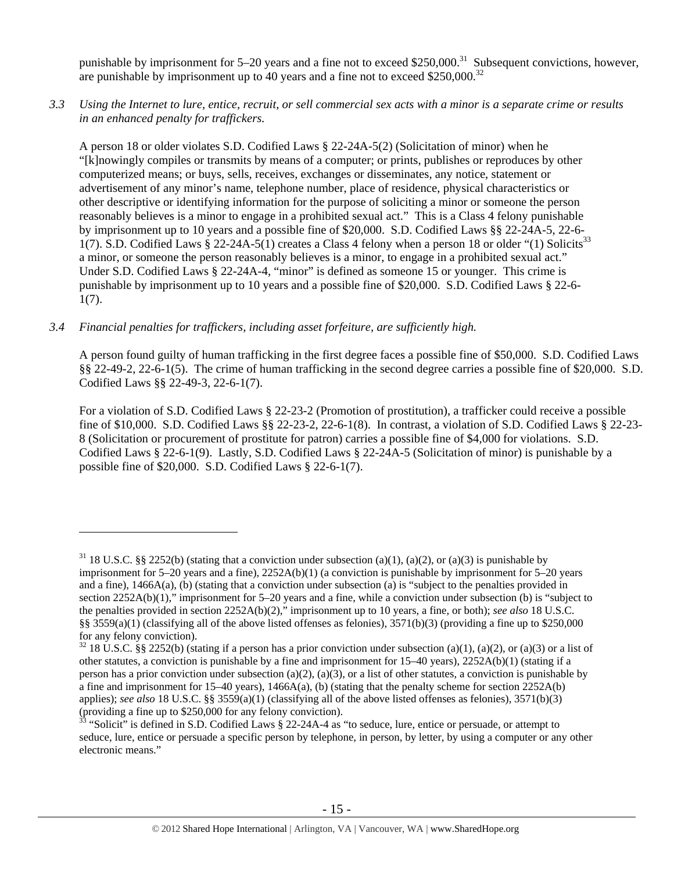punishable by imprisonment for  $5-20$  years and a fine not to exceed \$250,000.<sup>31</sup> Subsequent convictions, however, are punishable by imprisonment up to 40 years and a fine not to exceed  $$250,000.<sup>32</sup>$ 

*3.3 Using the Internet to lure, entice, recruit, or sell commercial sex acts with a minor is a separate crime or results in an enhanced penalty for traffickers.* 

A person 18 or older violates S.D. Codified Laws § 22-24A-5(2) (Solicitation of minor) when he "[k]nowingly compiles or transmits by means of a computer; or prints, publishes or reproduces by other computerized means; or buys, sells, receives, exchanges or disseminates, any notice, statement or advertisement of any minor's name, telephone number, place of residence, physical characteristics or other descriptive or identifying information for the purpose of soliciting a minor or someone the person reasonably believes is a minor to engage in a prohibited sexual act." This is a Class 4 felony punishable by imprisonment up to 10 years and a possible fine of \$20,000. S.D. Codified Laws §§ 22-24A-5, 22-6- 1(7). S.D. Codified Laws § 22-24A-5(1) creates a Class 4 felony when a person 18 or older "(1) Solicits<sup>33</sup> a minor, or someone the person reasonably believes is a minor, to engage in a prohibited sexual act." Under S.D. Codified Laws § 22-24A-4, "minor" is defined as someone 15 or younger. This crime is punishable by imprisonment up to 10 years and a possible fine of \$20,000. S.D. Codified Laws § 22-6-  $1(7)$ .

## *3.4 Financial penalties for traffickers, including asset forfeiture, are sufficiently high.*

 $\overline{a}$ 

A person found guilty of human trafficking in the first degree faces a possible fine of \$50,000. S.D. Codified Laws §§ 22-49-2, 22-6-1(5). The crime of human trafficking in the second degree carries a possible fine of \$20,000. S.D. Codified Laws §§ 22-49-3, 22-6-1(7).

For a violation of S.D. Codified Laws § 22-23-2 (Promotion of prostitution), a trafficker could receive a possible fine of \$10,000. S.D. Codified Laws §§ 22-23-2, 22-6-1(8). In contrast, a violation of S.D. Codified Laws § 22-23- 8 (Solicitation or procurement of prostitute for patron) carries a possible fine of \$4,000 for violations. S.D. Codified Laws § 22-6-1(9). Lastly, S.D. Codified Laws § 22-24A-5 (Solicitation of minor) is punishable by a possible fine of \$20,000. S.D. Codified Laws § 22-6-1(7).

<sup>&</sup>lt;sup>31</sup> 18 U.S.C. §§ 2252(b) (stating that a conviction under subsection (a)(1), (a)(2), or (a)(3) is punishable by imprisonment for 5–20 years and a fine), 2252A(b)(1) (a conviction is punishable by imprisonment for 5–20 years and a fine), 1466A(a), (b) (stating that a conviction under subsection (a) is "subject to the penalties provided in section 2252A(b)(1)," imprisonment for 5–20 years and a fine, while a conviction under subsection (b) is "subject to the penalties provided in section 2252A(b)(2)," imprisonment up to 10 years, a fine, or both); *see also* 18 U.S.C. §§ 3559(a)(1) (classifying all of the above listed offenses as felonies),  $3571(b)(3)$  (providing a fine up to \$250,000 for any felony conviction).

 $32$  18 U.S.C. §§ 2252(b) (stating if a person has a prior conviction under subsection (a)(1), (a)(2), or (a)(3) or a list of other statutes, a conviction is punishable by a fine and imprisonment for 15–40 years), 2252A(b)(1) (stating if a person has a prior conviction under subsection (a)(2), (a)(3), or a list of other statutes, a conviction is punishable by a fine and imprisonment for  $15-40$  years),  $1466A(a)$ , (b) (stating that the penalty scheme for section  $2252A(b)$ applies); *see also* 18 U.S.C. §§ 3559(a)(1) (classifying all of the above listed offenses as felonies), 3571(b)(3) (providing a fine up to \$250,000 for any felony conviction).

 $33$  "Solicit" is defined in S.D. Codified Laws § 22-24A-4 as "to seduce, lure, entice or persuade, or attempt to seduce, lure, entice or persuade a specific person by telephone, in person, by letter, by using a computer or any other electronic means."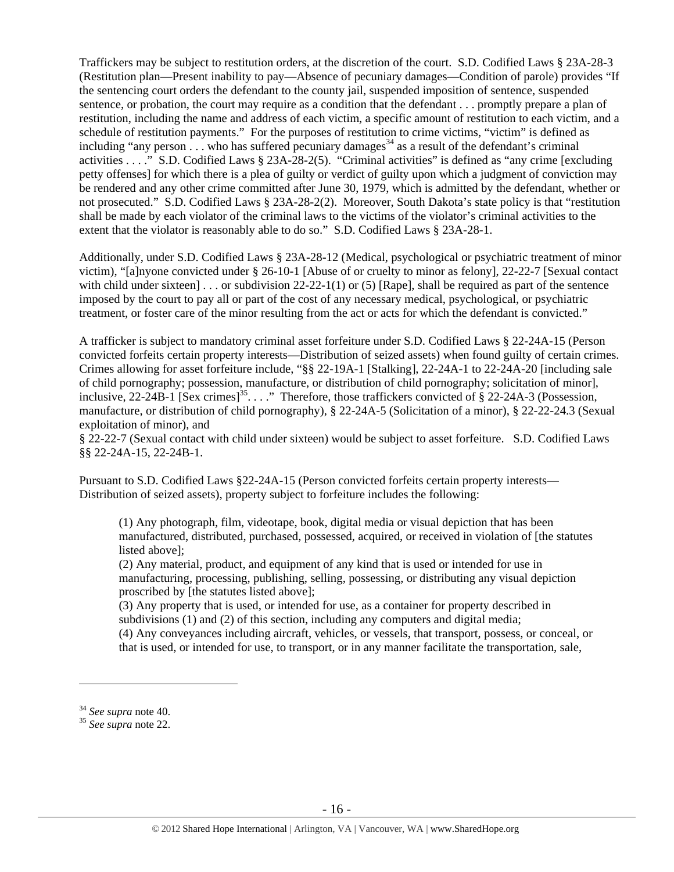Traffickers may be subject to restitution orders, at the discretion of the court. S.D. Codified Laws § 23A-28-3 (Restitution plan—Present inability to pay—Absence of pecuniary damages—Condition of parole) provides "If the sentencing court orders the defendant to the county jail, suspended imposition of sentence, suspended sentence, or probation, the court may require as a condition that the defendant . . . promptly prepare a plan of restitution, including the name and address of each victim, a specific amount of restitution to each victim, and a schedule of restitution payments." For the purposes of restitution to crime victims, "victim" is defined as including "any person  $\ldots$  who has suffered pecuniary damages<sup>34</sup> as a result of the defendant's criminal activities . . . ." S.D. Codified Laws § 23A-28-2(5). "Criminal activities" is defined as "any crime [excluding petty offenses] for which there is a plea of guilty or verdict of guilty upon which a judgment of conviction may be rendered and any other crime committed after June 30, 1979, which is admitted by the defendant, whether or not prosecuted." S.D. Codified Laws § 23A-28-2(2). Moreover, South Dakota's state policy is that "restitution shall be made by each violator of the criminal laws to the victims of the violator's criminal activities to the extent that the violator is reasonably able to do so." S.D. Codified Laws § 23A-28-1.

Additionally, under S.D. Codified Laws § 23A-28-12 (Medical, psychological or psychiatric treatment of minor victim), "[a]nyone convicted under § 26-10-1 [Abuse of or cruelty to minor as felony], 22-22-7 [Sexual contact with child under sixteen] . . . or subdivision  $22-22-1(1)$  or (5) [Rape], shall be required as part of the sentence imposed by the court to pay all or part of the cost of any necessary medical, psychological, or psychiatric treatment, or foster care of the minor resulting from the act or acts for which the defendant is convicted."

A trafficker is subject to mandatory criminal asset forfeiture under S.D. Codified Laws § 22-24A-15 (Person convicted forfeits certain property interests—Distribution of seized assets) when found guilty of certain crimes. Crimes allowing for asset forfeiture include, "§§ 22-19A-1 [Stalking], 22-24A-1 to 22-24A-20 [including sale of child pornography; possession, manufacture, or distribution of child pornography; solicitation of minor], inclusive, 22-24B-1 [Sex crimes]<sup>35</sup>. . . ." Therefore, those traffickers convicted of § 22-24A-3 (Possession, manufacture, or distribution of child pornography), § 22-24A-5 (Solicitation of a minor), § 22-22-24.3 (Sexual exploitation of minor), and

§ 22-22-7 (Sexual contact with child under sixteen) would be subject to asset forfeiture. S.D. Codified Laws §§ 22-24A-15, 22-24B-1.

Pursuant to S.D. Codified Laws §22-24A-15 (Person convicted forfeits certain property interests— Distribution of seized assets), property subject to forfeiture includes the following:

(1) Any photograph, film, videotape, book, digital media or visual depiction that has been manufactured, distributed, purchased, possessed, acquired, or received in violation of [the statutes listed above];

(2) Any material, product, and equipment of any kind that is used or intended for use in manufacturing, processing, publishing, selling, possessing, or distributing any visual depiction proscribed by [the statutes listed above];

(3) Any property that is used, or intended for use, as a container for property described in subdivisions (1) and (2) of this section, including any computers and digital media; (4) Any conveyances including aircraft, vehicles, or vessels, that transport, possess, or conceal, or that is used, or intended for use, to transport, or in any manner facilitate the transportation, sale,

<sup>34</sup> *See supra* note 40. 35 *See supra* note 22.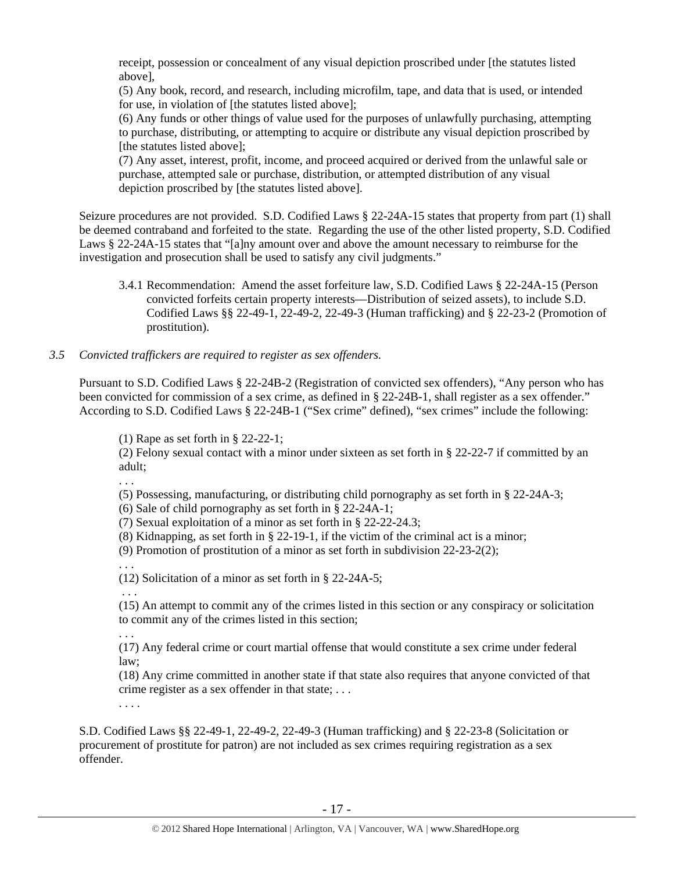receipt, possession or concealment of any visual depiction proscribed under [the statutes listed above],

(5) Any book, record, and research, including microfilm, tape, and data that is used, or intended for use, in violation of [the statutes listed above];

(6) Any funds or other things of value used for the purposes of unlawfully purchasing, attempting to purchase, distributing, or attempting to acquire or distribute any visual depiction proscribed by [the statutes listed above];

(7) Any asset, interest, profit, income, and proceed acquired or derived from the unlawful sale or purchase, attempted sale or purchase, distribution, or attempted distribution of any visual depiction proscribed by [the statutes listed above].

Seizure procedures are not provided. S.D. Codified Laws § 22-24A-15 states that property from part (1) shall be deemed contraband and forfeited to the state. Regarding the use of the other listed property, S.D. Codified Laws § 22-24A-15 states that "[a]ny amount over and above the amount necessary to reimburse for the investigation and prosecution shall be used to satisfy any civil judgments."

- 3.4.1 Recommendation: Amend the asset forfeiture law, S.D. Codified Laws § 22-24A-15 (Person convicted forfeits certain property interests—Distribution of seized assets), to include S.D. Codified Laws §§ 22-49-1, 22-49-2, 22-49-3 (Human trafficking) and § 22-23-2 (Promotion of prostitution).
- *3.5 Convicted traffickers are required to register as sex offenders.*

Pursuant to S.D. Codified Laws § 22-24B-2 (Registration of convicted sex offenders), "Any person who has been convicted for commission of a sex crime, as defined in § 22-24B-1, shall register as a sex offender." According to S.D. Codified Laws § 22-24B-1 ("Sex crime" defined), "sex crimes" include the following:

(1) Rape as set forth in § 22-22-1;

(2) Felony sexual contact with a minor under sixteen as set forth in § 22-22-7 if committed by an adult;

. . .

(5) Possessing, manufacturing, or distributing child pornography as set forth in § 22-24A-3;

(6) Sale of child pornography as set forth in § 22-24A-1;

(7) Sexual exploitation of a minor as set forth in § 22-22-24.3;

(8) Kidnapping, as set forth in § 22-19-1, if the victim of the criminal act is a minor;

(9) Promotion of prostitution of a minor as set forth in subdivision 22-23-2(2);

. . .

(12) Solicitation of a minor as set forth in § 22-24A-5;

 . . . (15) An attempt to commit any of the crimes listed in this section or any conspiracy or solicitation to commit any of the crimes listed in this section;

. . .

(17) Any federal crime or court martial offense that would constitute a sex crime under federal law;

(18) Any crime committed in another state if that state also requires that anyone convicted of that crime register as a sex offender in that state; . . .

. . . .

S.D. Codified Laws §§ 22-49-1, 22-49-2, 22-49-3 (Human trafficking) and § 22-23-8 (Solicitation or procurement of prostitute for patron) are not included as sex crimes requiring registration as a sex offender.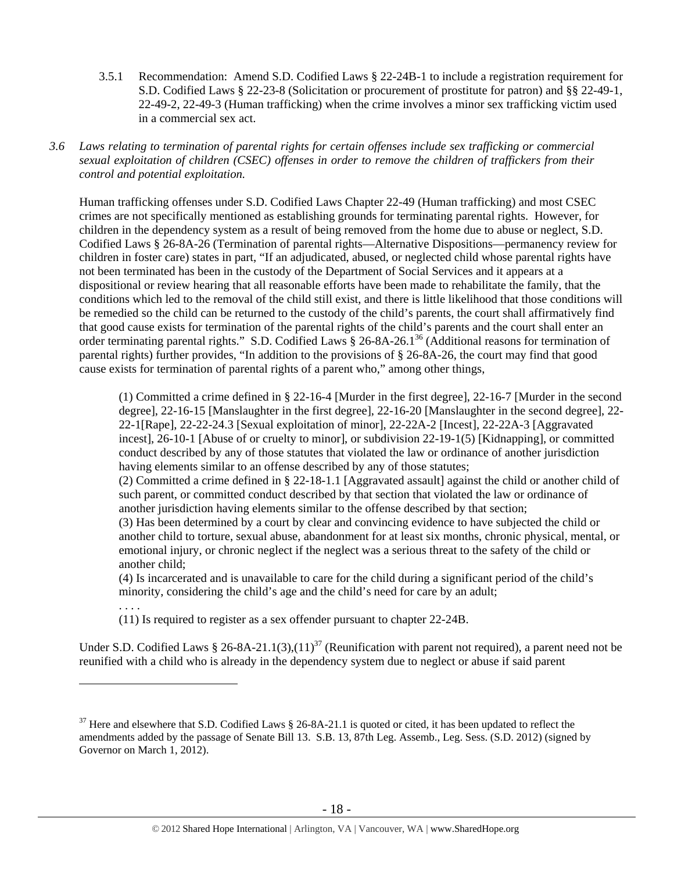- 3.5.1 Recommendation: Amend S.D. Codified Laws § 22-24B-1 to include a registration requirement for S.D. Codified Laws § 22-23-8 (Solicitation or procurement of prostitute for patron) and §§ 22-49-1, 22-49-2, 22-49-3 (Human trafficking) when the crime involves a minor sex trafficking victim used in a commercial sex act.
- *3.6 Laws relating to termination of parental rights for certain offenses include sex trafficking or commercial sexual exploitation of children (CSEC) offenses in order to remove the children of traffickers from their control and potential exploitation.*

Human trafficking offenses under S.D. Codified Laws Chapter 22-49 (Human trafficking) and most CSEC crimes are not specifically mentioned as establishing grounds for terminating parental rights. However, for children in the dependency system as a result of being removed from the home due to abuse or neglect, S.D. Codified Laws § 26-8A-26 (Termination of parental rights—Alternative Dispositions—permanency review for children in foster care) states in part, "If an adjudicated, abused, or neglected child whose parental rights have not been terminated has been in the custody of the Department of Social Services and it appears at a dispositional or review hearing that all reasonable efforts have been made to rehabilitate the family, that the conditions which led to the removal of the child still exist, and there is little likelihood that those conditions will be remedied so the child can be returned to the custody of the child's parents, the court shall affirmatively find that good cause exists for termination of the parental rights of the child's parents and the court shall enter an order terminating parental rights." S.D. Codified Laws § 26-8A-26.136 (Additional reasons for termination of parental rights) further provides, "In addition to the provisions of § 26-8A-26, the court may find that good cause exists for termination of parental rights of a parent who," among other things,

(1) Committed a crime defined in § 22-16-4 [Murder in the first degree], 22-16-7 [Murder in the second degree], 22-16-15 [Manslaughter in the first degree], 22-16-20 [Manslaughter in the second degree], 22- 22-1[Rape], 22-22-24.3 [Sexual exploitation of minor], 22-22A-2 [Incest], 22-22A-3 [Aggravated incest], 26-10-1 [Abuse of or cruelty to minor], or subdivision 22-19-1(5) [Kidnapping], or committed conduct described by any of those statutes that violated the law or ordinance of another jurisdiction having elements similar to an offense described by any of those statutes;

(2) Committed a crime defined in § 22-18-1.1 [Aggravated assault] against the child or another child of such parent, or committed conduct described by that section that violated the law or ordinance of another jurisdiction having elements similar to the offense described by that section;

(3) Has been determined by a court by clear and convincing evidence to have subjected the child or another child to torture, sexual abuse, abandonment for at least six months, chronic physical, mental, or emotional injury, or chronic neglect if the neglect was a serious threat to the safety of the child or another child;

(4) Is incarcerated and is unavailable to care for the child during a significant period of the child's minority, considering the child's age and the child's need for care by an adult;

. . . .

 $\overline{a}$ 

(11) Is required to register as a sex offender pursuant to chapter 22-24B.

Under S.D. Codified Laws § 26-8A-21.1(3),(11)<sup>37</sup> (Reunification with parent not required), a parent need not be reunified with a child who is already in the dependency system due to neglect or abuse if said parent

<sup>&</sup>lt;sup>37</sup> Here and elsewhere that S.D. Codified Laws § 26-8A-21.1 is quoted or cited, it has been updated to reflect the amendments added by the passage of Senate Bill 13. S.B. 13, 87th Leg. Assemb., Leg. Sess. (S.D. 2012) (signed by Governor on March 1, 2012).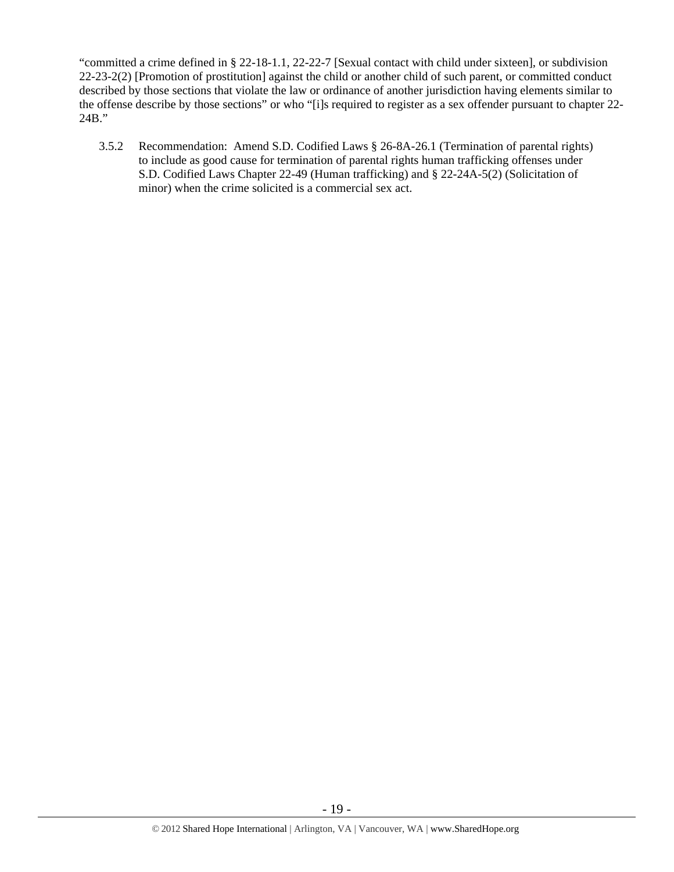"committed a crime defined in § 22-18-1.1, 22-22-7 [Sexual contact with child under sixteen], or subdivision 22-23-2(2) [Promotion of prostitution] against the child or another child of such parent, or committed conduct described by those sections that violate the law or ordinance of another jurisdiction having elements similar to the offense describe by those sections" or who "[i]s required to register as a sex offender pursuant to chapter 22- 24B."

3.5.2 Recommendation: Amend S.D. Codified Laws § 26-8A-26.1 (Termination of parental rights) to include as good cause for termination of parental rights human trafficking offenses under S.D. Codified Laws Chapter 22-49 (Human trafficking) and § 22-24A-5(2) (Solicitation of minor) when the crime solicited is a commercial sex act.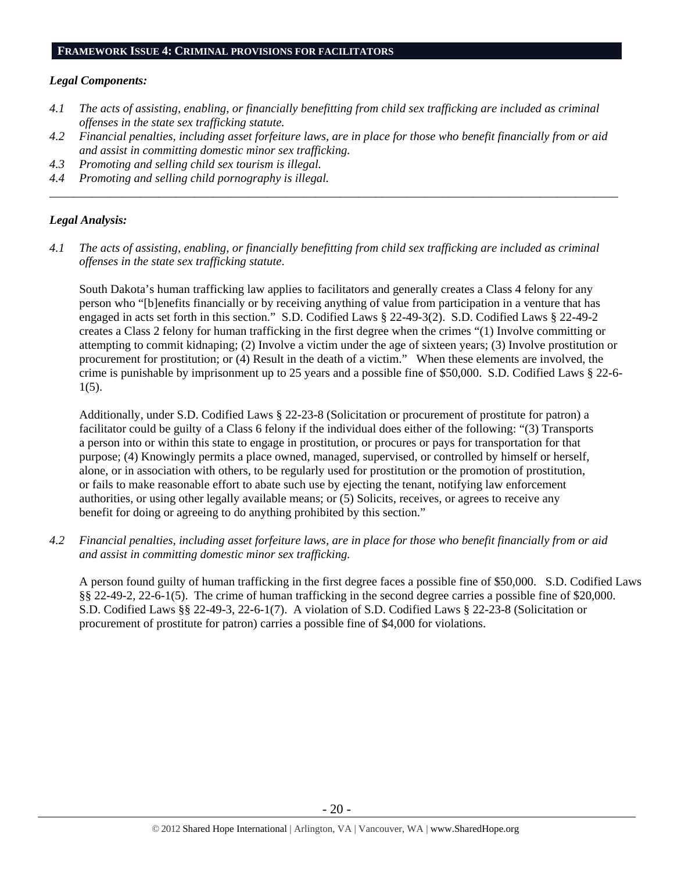#### **FRAMEWORK ISSUE 4: CRIMINAL PROVISIONS FOR FACILITATORS**

## *Legal Components:*

- *4.1 The acts of assisting, enabling, or financially benefitting from child sex trafficking are included as criminal offenses in the state sex trafficking statute.*
- *4.2 Financial penalties, including asset forfeiture laws, are in place for those who benefit financially from or aid and assist in committing domestic minor sex trafficking.*

*\_\_\_\_\_\_\_\_\_\_\_\_\_\_\_\_\_\_\_\_\_\_\_\_\_\_\_\_\_\_\_\_\_\_\_\_\_\_\_\_\_\_\_\_\_\_\_\_\_\_\_\_\_\_\_\_\_\_\_\_\_\_\_\_\_\_\_\_\_\_\_\_\_\_\_\_\_\_\_\_\_\_\_\_\_\_\_\_\_\_\_\_\_\_* 

- *4.3 Promoting and selling child sex tourism is illegal.*
- *4.4 Promoting and selling child pornography is illegal.*

## *Legal Analysis:*

*4.1 The acts of assisting, enabling, or financially benefitting from child sex trafficking are included as criminal offenses in the state sex trafficking statute*.

South Dakota's human trafficking law applies to facilitators and generally creates a Class 4 felony for any person who "[b]enefits financially or by receiving anything of value from participation in a venture that has engaged in acts set forth in this section." S.D. Codified Laws § 22-49-3(2). S.D. Codified Laws § 22-49-2 creates a Class 2 felony for human trafficking in the first degree when the crimes "(1) Involve committing or attempting to commit kidnaping; (2) Involve a victim under the age of sixteen years; (3) Involve prostitution or procurement for prostitution; or (4) Result in the death of a victim." When these elements are involved, the crime is punishable by imprisonment up to 25 years and a possible fine of \$50,000. S.D. Codified Laws § 22-6- 1(5).

Additionally, under S.D. Codified Laws § 22-23-8 (Solicitation or procurement of prostitute for patron) a facilitator could be guilty of a Class 6 felony if the individual does either of the following: "(3) Transports a person into or within this state to engage in prostitution, or procures or pays for transportation for that purpose; (4) Knowingly permits a place owned, managed, supervised, or controlled by himself or herself, alone, or in association with others, to be regularly used for prostitution or the promotion of prostitution, or fails to make reasonable effort to abate such use by ejecting the tenant, notifying law enforcement authorities, or using other legally available means; or (5) Solicits, receives, or agrees to receive any benefit for doing or agreeing to do anything prohibited by this section."

*4.2 Financial penalties, including asset forfeiture laws, are in place for those who benefit financially from or aid and assist in committing domestic minor sex trafficking.* 

A person found guilty of human trafficking in the first degree faces a possible fine of \$50,000. S.D. Codified Laws §§ 22-49-2, 22-6-1(5). The crime of human trafficking in the second degree carries a possible fine of \$20,000. S.D. Codified Laws §§ 22-49-3, 22-6-1(7). A violation of S.D. Codified Laws § 22-23-8 (Solicitation or procurement of prostitute for patron) carries a possible fine of \$4,000 for violations.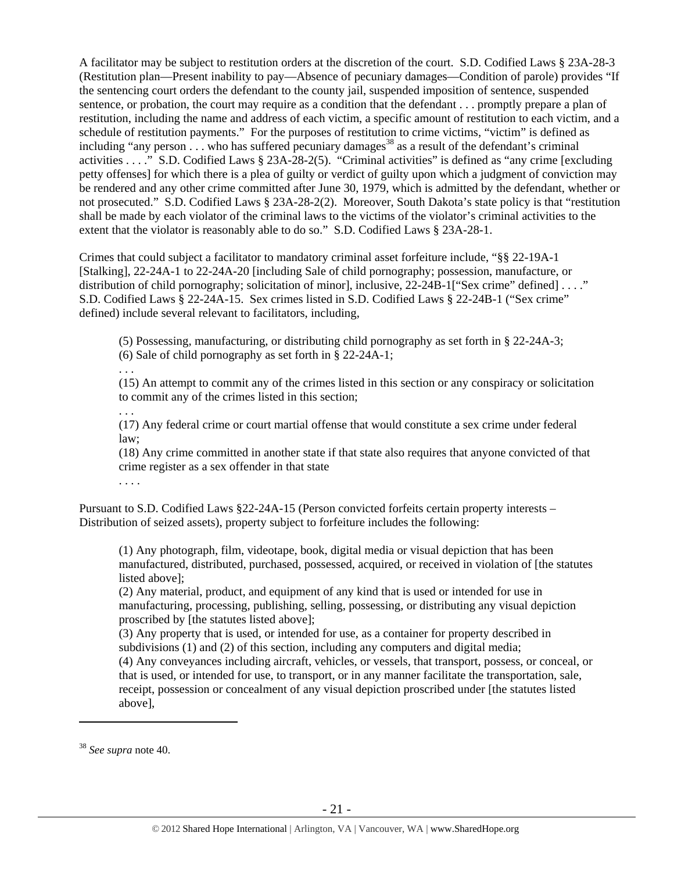A facilitator may be subject to restitution orders at the discretion of the court. S.D. Codified Laws § 23A-28-3 (Restitution plan—Present inability to pay—Absence of pecuniary damages—Condition of parole) provides "If the sentencing court orders the defendant to the county jail, suspended imposition of sentence, suspended sentence, or probation, the court may require as a condition that the defendant . . . promptly prepare a plan of restitution, including the name and address of each victim, a specific amount of restitution to each victim, and a schedule of restitution payments." For the purposes of restitution to crime victims, "victim" is defined as including "any person  $\ldots$  who has suffered pecuniary damages<sup>38</sup> as a result of the defendant's criminal activities . . . ." S.D. Codified Laws § 23A-28-2(5). "Criminal activities" is defined as "any crime [excluding petty offenses] for which there is a plea of guilty or verdict of guilty upon which a judgment of conviction may be rendered and any other crime committed after June 30, 1979, which is admitted by the defendant, whether or not prosecuted." S.D. Codified Laws § 23A-28-2(2). Moreover, South Dakota's state policy is that "restitution shall be made by each violator of the criminal laws to the victims of the violator's criminal activities to the extent that the violator is reasonably able to do so." S.D. Codified Laws § 23A-28-1.

Crimes that could subject a facilitator to mandatory criminal asset forfeiture include, "§§ 22-19A-1 [Stalking], 22-24A-1 to 22-24A-20 [including Sale of child pornography; possession, manufacture, or distribution of child pornography; solicitation of minor], inclusive, 22-24B-1["Sex crime" defined] . . . ." S.D. Codified Laws § 22-24A-15. Sex crimes listed in S.D. Codified Laws § 22-24B-1 ("Sex crime" defined) include several relevant to facilitators, including,

(5) Possessing, manufacturing, or distributing child pornography as set forth in § 22-24A-3; (6) Sale of child pornography as set forth in § 22-24A-1;

. . .

(15) An attempt to commit any of the crimes listed in this section or any conspiracy or solicitation to commit any of the crimes listed in this section;

. . .

(17) Any federal crime or court martial offense that would constitute a sex crime under federal law;

(18) Any crime committed in another state if that state also requires that anyone convicted of that crime register as a sex offender in that state

. . . .

Pursuant to S.D. Codified Laws §22-24A-15 (Person convicted forfeits certain property interests – Distribution of seized assets), property subject to forfeiture includes the following:

(1) Any photograph, film, videotape, book, digital media or visual depiction that has been manufactured, distributed, purchased, possessed, acquired, or received in violation of [the statutes listed above];

(2) Any material, product, and equipment of any kind that is used or intended for use in manufacturing, processing, publishing, selling, possessing, or distributing any visual depiction proscribed by [the statutes listed above];

(3) Any property that is used, or intended for use, as a container for property described in subdivisions (1) and (2) of this section, including any computers and digital media;

(4) Any conveyances including aircraft, vehicles, or vessels, that transport, possess, or conceal, or that is used, or intended for use, to transport, or in any manner facilitate the transportation, sale, receipt, possession or concealment of any visual depiction proscribed under [the statutes listed above],

<sup>38</sup> *See supra* note 40.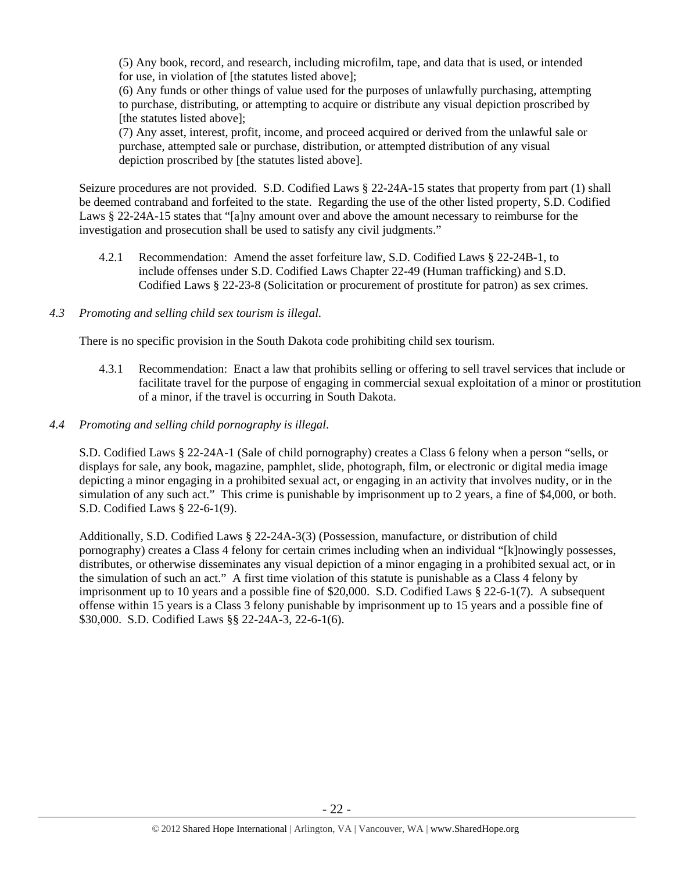(5) Any book, record, and research, including microfilm, tape, and data that is used, or intended for use, in violation of [the statutes listed above];

(6) Any funds or other things of value used for the purposes of unlawfully purchasing, attempting to purchase, distributing, or attempting to acquire or distribute any visual depiction proscribed by [the statutes listed above];

(7) Any asset, interest, profit, income, and proceed acquired or derived from the unlawful sale or purchase, attempted sale or purchase, distribution, or attempted distribution of any visual depiction proscribed by [the statutes listed above].

Seizure procedures are not provided. S.D. Codified Laws § 22-24A-15 states that property from part (1) shall be deemed contraband and forfeited to the state. Regarding the use of the other listed property, S.D. Codified Laws § 22-24A-15 states that "[a]ny amount over and above the amount necessary to reimburse for the investigation and prosecution shall be used to satisfy any civil judgments."

4.2.1 Recommendation: Amend the asset forfeiture law, S.D. Codified Laws § 22-24B-1, to include offenses under S.D. Codified Laws Chapter 22-49 (Human trafficking) and S.D. Codified Laws § 22-23-8 (Solicitation or procurement of prostitute for patron) as sex crimes.

## *4.3 Promoting and selling child sex tourism is illegal*.

There is no specific provision in the South Dakota code prohibiting child sex tourism.

- 4.3.1 Recommendation: Enact a law that prohibits selling or offering to sell travel services that include or facilitate travel for the purpose of engaging in commercial sexual exploitation of a minor or prostitution of a minor, if the travel is occurring in South Dakota.
- *4.4 Promoting and selling child pornography is illegal*.

S.D. Codified Laws § 22-24A-1 (Sale of child pornography) creates a Class 6 felony when a person "sells, or displays for sale, any book, magazine, pamphlet, slide, photograph, film, or electronic or digital media image depicting a minor engaging in a prohibited sexual act, or engaging in an activity that involves nudity, or in the simulation of any such act." This crime is punishable by imprisonment up to 2 years, a fine of \$4,000, or both. S.D. Codified Laws § 22-6-1(9).

Additionally, S.D. Codified Laws § 22-24A-3(3) (Possession, manufacture, or distribution of child pornography) creates a Class 4 felony for certain crimes including when an individual "[k]nowingly possesses, distributes, or otherwise disseminates any visual depiction of a minor engaging in a prohibited sexual act, or in the simulation of such an act." A first time violation of this statute is punishable as a Class 4 felony by imprisonment up to 10 years and a possible fine of \$20,000. S.D. Codified Laws § 22-6-1(7). A subsequent offense within 15 years is a Class 3 felony punishable by imprisonment up to 15 years and a possible fine of \$30,000. S.D. Codified Laws §§ 22-24A-3, 22-6-1(6).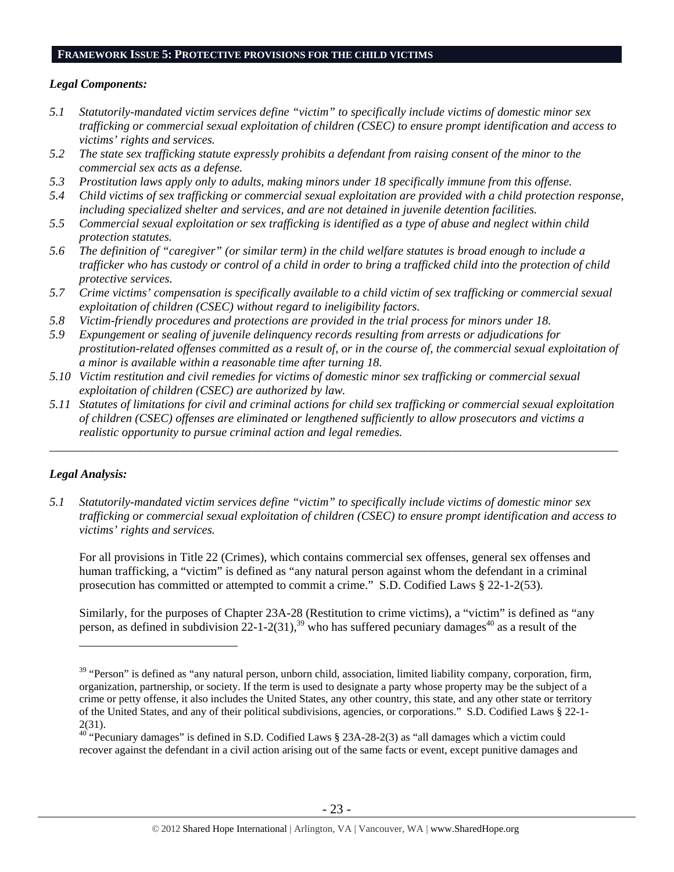# **FRAMEWORK ISSUE 5: PROTECTIVE PROVISIONS FOR THE CHILD VICTIMS**

# *Legal Components:*

- *5.1 Statutorily-mandated victim services define "victim" to specifically include victims of domestic minor sex trafficking or commercial sexual exploitation of children (CSEC) to ensure prompt identification and access to victims' rights and services.*
- *5.2 The state sex trafficking statute expressly prohibits a defendant from raising consent of the minor to the commercial sex acts as a defense.*
- *5.3 Prostitution laws apply only to adults, making minors under 18 specifically immune from this offense.*
- *5.4 Child victims of sex trafficking or commercial sexual exploitation are provided with a child protection response, including specialized shelter and services, and are not detained in juvenile detention facilities.*
- *5.5 Commercial sexual exploitation or sex trafficking is identified as a type of abuse and neglect within child protection statutes.*
- *5.6 The definition of "caregiver" (or similar term) in the child welfare statutes is broad enough to include a trafficker who has custody or control of a child in order to bring a trafficked child into the protection of child protective services.*
- *5.7 Crime victims' compensation is specifically available to a child victim of sex trafficking or commercial sexual exploitation of children (CSEC) without regard to ineligibility factors.*
- *5.8 Victim-friendly procedures and protections are provided in the trial process for minors under 18.*
- *5.9 Expungement or sealing of juvenile delinquency records resulting from arrests or adjudications for prostitution-related offenses committed as a result of, or in the course of, the commercial sexual exploitation of a minor is available within a reasonable time after turning 18.*
- *5.10 Victim restitution and civil remedies for victims of domestic minor sex trafficking or commercial sexual exploitation of children (CSEC) are authorized by law.*
- *5.11 Statutes of limitations for civil and criminal actions for child sex trafficking or commercial sexual exploitation of children (CSEC) offenses are eliminated or lengthened sufficiently to allow prosecutors and victims a realistic opportunity to pursue criminal action and legal remedies.*

*\_\_\_\_\_\_\_\_\_\_\_\_\_\_\_\_\_\_\_\_\_\_\_\_\_\_\_\_\_\_\_\_\_\_\_\_\_\_\_\_\_\_\_\_\_\_\_\_\_\_\_\_\_\_\_\_\_\_\_\_\_\_\_\_\_\_\_\_\_\_\_\_\_\_\_\_\_\_\_\_\_\_\_\_\_\_\_\_\_\_\_\_\_\_* 

# *Legal Analysis:*

 $\overline{a}$ 

*5.1 Statutorily-mandated victim services define "victim" to specifically include victims of domestic minor sex trafficking or commercial sexual exploitation of children (CSEC) to ensure prompt identification and access to victims' rights and services.* 

For all provisions in Title 22 (Crimes), which contains commercial sex offenses, general sex offenses and human trafficking, a "victim" is defined as "any natural person against whom the defendant in a criminal prosecution has committed or attempted to commit a crime." S.D. Codified Laws § 22-1-2(53).

Similarly, for the purposes of Chapter 23A-28 (Restitution to crime victims), a "victim" is defined as "any person, as defined in subdivision  $22-1-2(31)$ ,<sup>39</sup> who has suffered pecuniary damages<sup>40</sup> as a result of the

 $39$  "Person" is defined as "any natural person, unborn child, association, limited liability company, corporation, firm, organization, partnership, or society. If the term is used to designate a party whose property may be the subject of a crime or petty offense, it also includes the United States, any other country, this state, and any other state or territory of the United States, and any of their political subdivisions, agencies, or corporations." S.D. Codified Laws § 22-1- 2(31).

 $^{40}_{40}$  "Pecuniary damages" is defined in S.D. Codified Laws § 23A-28-2(3) as "all damages which a victim could recover against the defendant in a civil action arising out of the same facts or event, except punitive damages and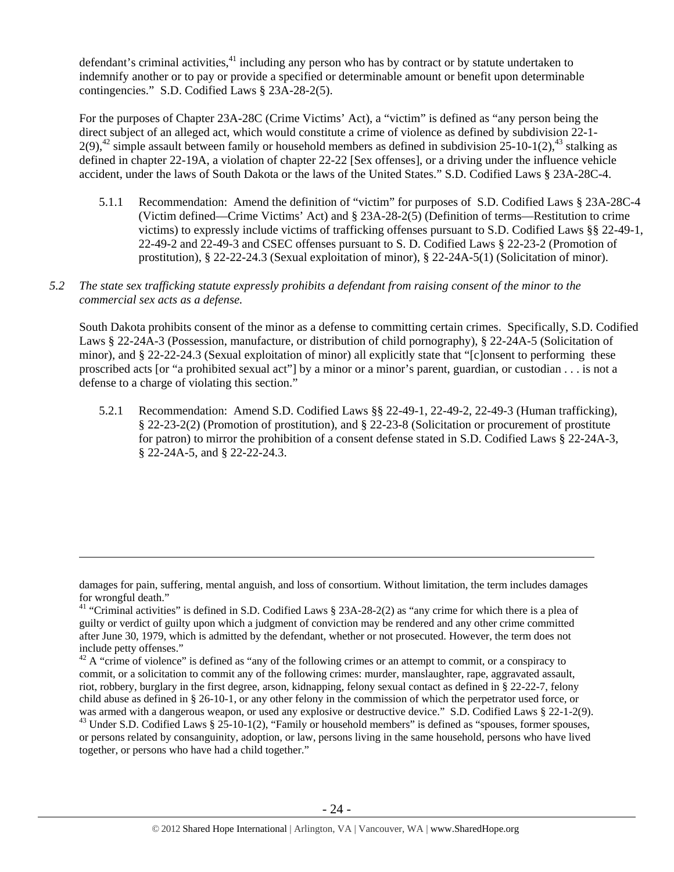defendant's criminal activities, $41$  including any person who has by contract or by statute undertaken to indemnify another or to pay or provide a specified or determinable amount or benefit upon determinable contingencies." S.D. Codified Laws § 23A-28-2(5).

For the purposes of Chapter 23A-28C (Crime Victims' Act), a "victim" is defined as "any person being the direct subject of an alleged act, which would constitute a crime of violence as defined by subdivision 22-1-  $2(9)$ ,<sup>42</sup> simple assault between family or household members as defined in subdivision 25-10-1(2),<sup>43</sup> stalking as defined in chapter 22-19A, a violation of chapter 22-22 [Sex offenses], or a driving under the influence vehicle accident, under the laws of South Dakota or the laws of the United States." S.D. Codified Laws § 23A-28C-4.

- 5.1.1 Recommendation: Amend the definition of "victim" for purposes of S.D. Codified Laws § 23A-28C-4 (Victim defined—Crime Victims' Act) and § 23A-28-2(5) (Definition of terms—Restitution to crime victims) to expressly include victims of trafficking offenses pursuant to S.D. Codified Laws §§ 22-49-1, 22-49-2 and 22-49-3 and CSEC offenses pursuant to S. D. Codified Laws § 22-23-2 (Promotion of prostitution), § 22-22-24.3 (Sexual exploitation of minor), § 22-24A-5(1) (Solicitation of minor).
- *5.2 The state sex trafficking statute expressly prohibits a defendant from raising consent of the minor to the commercial sex acts as a defense.*

South Dakota prohibits consent of the minor as a defense to committing certain crimes. Specifically, S.D. Codified Laws § 22-24A-3 (Possession, manufacture, or distribution of child pornography), § 22-24A-5 (Solicitation of minor), and § 22-22-24.3 (Sexual exploitation of minor) all explicitly state that "[c]onsent to performing these proscribed acts [or "a prohibited sexual act"] by a minor or a minor's parent, guardian, or custodian . . . is not a defense to a charge of violating this section."

5.2.1 Recommendation: Amend S.D. Codified Laws §§ 22-49-1, 22-49-2, 22-49-3 (Human trafficking), § 22-23-2(2) (Promotion of prostitution), and § 22-23-8 (Solicitation or procurement of prostitute for patron) to mirror the prohibition of a consent defense stated in S.D. Codified Laws § 22-24A-3, § 22-24A-5, and § 22-22-24.3.

damages for pain, suffering, mental anguish, and loss of consortium. Without limitation, the term includes damages for wrongful death."

<sup>&</sup>lt;sup>41</sup> "Criminal activities" is defined in S.D. Codified Laws § 23A-28-2(2) as "any crime for which there is a plea of guilty or verdict of guilty upon which a judgment of conviction may be rendered and any other crime committed after June 30, 1979, which is admitted by the defendant, whether or not prosecuted. However, the term does not include petty offenses."

 $^{42}$  A "crime of violence" is defined as "any of the following crimes or an attempt to commit, or a conspiracy to commit, or a solicitation to commit any of the following crimes: murder, manslaughter, rape, aggravated assault, riot, robbery, burglary in the first degree, arson, kidnapping, felony sexual contact as defined in § 22-22-7, felony child abuse as defined in § 26-10-1, or any other felony in the commission of which the perpetrator used force, or was armed with a dangerous weapon, or used any explosive or destructive device." S.D. Codified Laws § 22-1-2(9).

<sup>&</sup>lt;sup>43</sup> Under S.D. Codified Laws § 25-10-1(2), "Family or household members" is defined as "spouses, former spouses, or persons related by consanguinity, adoption, or law, persons living in the same household, persons who have lived together, or persons who have had a child together."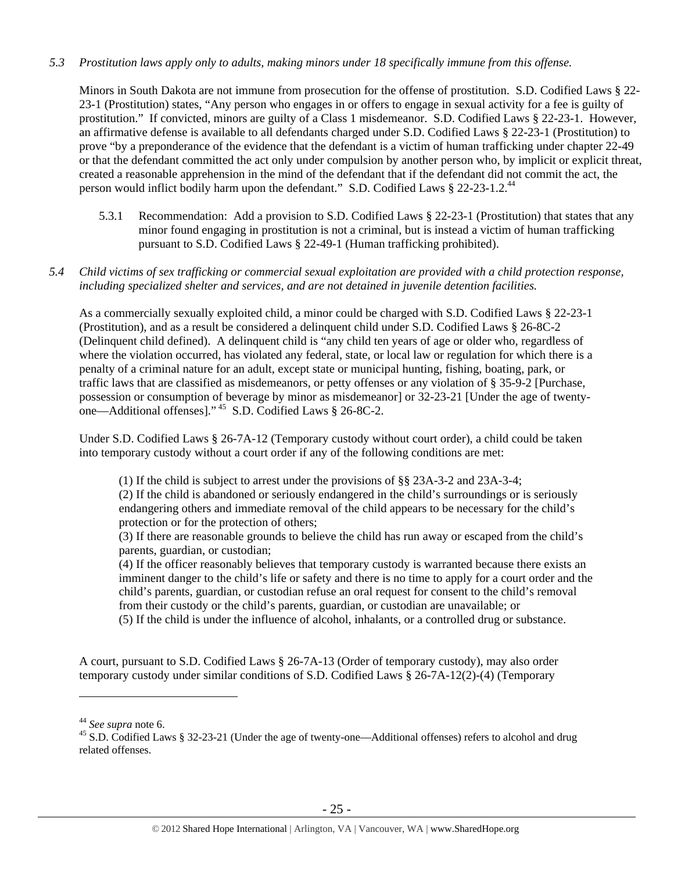# *5.3 Prostitution laws apply only to adults, making minors under 18 specifically immune from this offense.*

Minors in South Dakota are not immune from prosecution for the offense of prostitution. S.D. Codified Laws § 22- 23-1 (Prostitution) states, "Any person who engages in or offers to engage in sexual activity for a fee is guilty of prostitution." If convicted, minors are guilty of a Class 1 misdemeanor. S.D. Codified Laws § 22-23-1. However, an affirmative defense is available to all defendants charged under S.D. Codified Laws § 22-23-1 (Prostitution) to prove "by a preponderance of the evidence that the defendant is a victim of human trafficking under chapter 22-49 or that the defendant committed the act only under compulsion by another person who, by implicit or explicit threat, created a reasonable apprehension in the mind of the defendant that if the defendant did not commit the act, the person would inflict bodily harm upon the defendant." S.D. Codified Laws § 22-23-1.2.44

5.3.1 Recommendation: Add a provision to S.D. Codified Laws § 22-23-1 (Prostitution) that states that any minor found engaging in prostitution is not a criminal, but is instead a victim of human trafficking pursuant to S.D. Codified Laws § 22-49-1 (Human trafficking prohibited).

# *5.4 Child victims of sex trafficking or commercial sexual exploitation are provided with a child protection response, including specialized shelter and services, and are not detained in juvenile detention facilities.*

As a commercially sexually exploited child, a minor could be charged with S.D. Codified Laws § 22-23-1 (Prostitution), and as a result be considered a delinquent child under S.D. Codified Laws § 26-8C-2 (Delinquent child defined). A delinquent child is "any child ten years of age or older who, regardless of where the violation occurred, has violated any federal, state, or local law or regulation for which there is a penalty of a criminal nature for an adult, except state or municipal hunting, fishing, boating, park, or traffic laws that are classified as misdemeanors, or petty offenses or any violation of § 35-9-2 [Purchase, possession or consumption of beverage by minor as misdemeanor] or 32-23-21 [Under the age of twentyone—Additional offenses]." 45 S.D. Codified Laws § 26-8C-2.

Under S.D. Codified Laws § 26-7A-12 (Temporary custody without court order), a child could be taken into temporary custody without a court order if any of the following conditions are met:

(1) If the child is subject to arrest under the provisions of §§ 23A-3-2 and 23A-3-4; (2) If the child is abandoned or seriously endangered in the child's surroundings or is seriously endangering others and immediate removal of the child appears to be necessary for the child's protection or for the protection of others;

(3) If there are reasonable grounds to believe the child has run away or escaped from the child's parents, guardian, or custodian;

(4) If the officer reasonably believes that temporary custody is warranted because there exists an imminent danger to the child's life or safety and there is no time to apply for a court order and the child's parents, guardian, or custodian refuse an oral request for consent to the child's removal from their custody or the child's parents, guardian, or custodian are unavailable; or (5) If the child is under the influence of alcohol, inhalants, or a controlled drug or substance.

A court, pursuant to S.D. Codified Laws § 26-7A-13 (Order of temporary custody), may also order temporary custody under similar conditions of S.D. Codified Laws § 26-7A-12(2)-(4) (Temporary

<sup>&</sup>lt;sup>44</sup> See supra note 6.<br><sup>45</sup> S.D. Codified Laws § 32-23-21 (Under the age of twenty-one—Additional offenses) refers to alcohol and drug related offenses.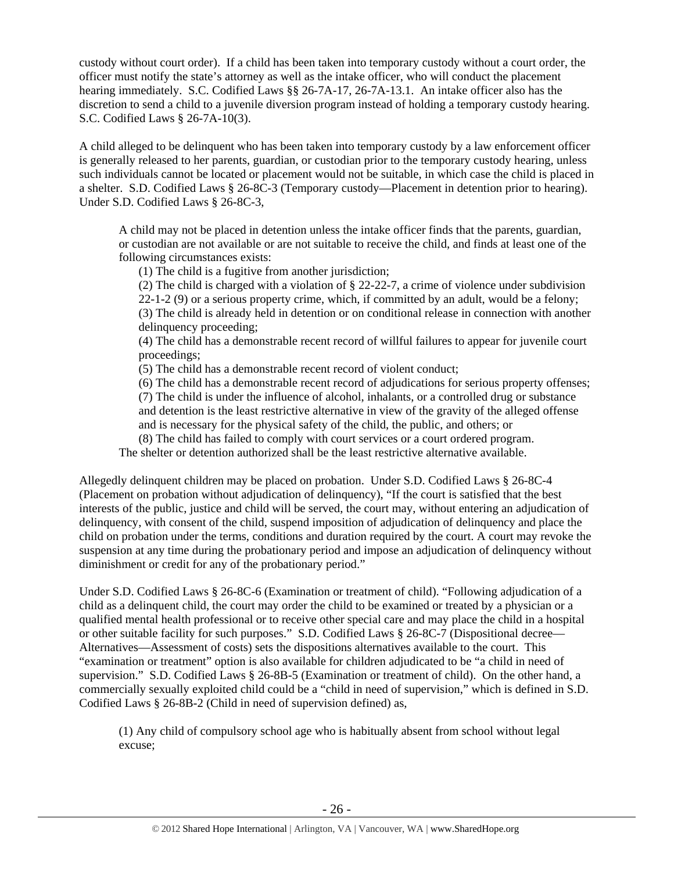custody without court order). If a child has been taken into temporary custody without a court order, the officer must notify the state's attorney as well as the intake officer, who will conduct the placement hearing immediately. S.C. Codified Laws §§ 26-7A-17, 26-7A-13.1. An intake officer also has the discretion to send a child to a juvenile diversion program instead of holding a temporary custody hearing. S.C. Codified Laws § 26-7A-10(3).

A child alleged to be delinquent who has been taken into temporary custody by a law enforcement officer is generally released to her parents, guardian, or custodian prior to the temporary custody hearing, unless such individuals cannot be located or placement would not be suitable, in which case the child is placed in a shelter. S.D. Codified Laws § 26-8C-3 (Temporary custody—Placement in detention prior to hearing). Under S.D. Codified Laws § 26-8C-3,

A child may not be placed in detention unless the intake officer finds that the parents, guardian, or custodian are not available or are not suitable to receive the child, and finds at least one of the following circumstances exists:

(1) The child is a fugitive from another jurisdiction;

(2) The child is charged with a violation of § 22-22-7, a crime of violence under subdivision 22-1-2 (9) or a serious property crime, which, if committed by an adult, would be a felony; (3) The child is already held in detention or on conditional release in connection with another

delinquency proceeding;

(4) The child has a demonstrable recent record of willful failures to appear for juvenile court proceedings;

(5) The child has a demonstrable recent record of violent conduct;

(6) The child has a demonstrable recent record of adjudications for serious property offenses;

(7) The child is under the influence of alcohol, inhalants, or a controlled drug or substance and detention is the least restrictive alternative in view of the gravity of the alleged offense and is necessary for the physical safety of the child, the public, and others; or

(8) The child has failed to comply with court services or a court ordered program.

The shelter or detention authorized shall be the least restrictive alternative available.

Allegedly delinquent children may be placed on probation. Under S.D. Codified Laws § 26-8C-4 (Placement on probation without adjudication of delinquency), "If the court is satisfied that the best interests of the public, justice and child will be served, the court may, without entering an adjudication of delinquency, with consent of the child, suspend imposition of adjudication of delinquency and place the child on probation under the terms, conditions and duration required by the court. A court may revoke the suspension at any time during the probationary period and impose an adjudication of delinquency without diminishment or credit for any of the probationary period."

Under S.D. Codified Laws § 26-8C-6 (Examination or treatment of child). "Following adjudication of a child as a delinquent child, the court may order the child to be examined or treated by a physician or a qualified mental health professional or to receive other special care and may place the child in a hospital or other suitable facility for such purposes." S.D. Codified Laws § 26-8C-7 (Dispositional decree— Alternatives—Assessment of costs) sets the dispositions alternatives available to the court. This "examination or treatment" option is also available for children adjudicated to be "a child in need of supervision." S.D. Codified Laws § 26-8B-5 (Examination or treatment of child). On the other hand, a commercially sexually exploited child could be a "child in need of supervision," which is defined in S.D. Codified Laws § 26-8B-2 (Child in need of supervision defined) as,

(1) Any child of compulsory school age who is habitually absent from school without legal excuse;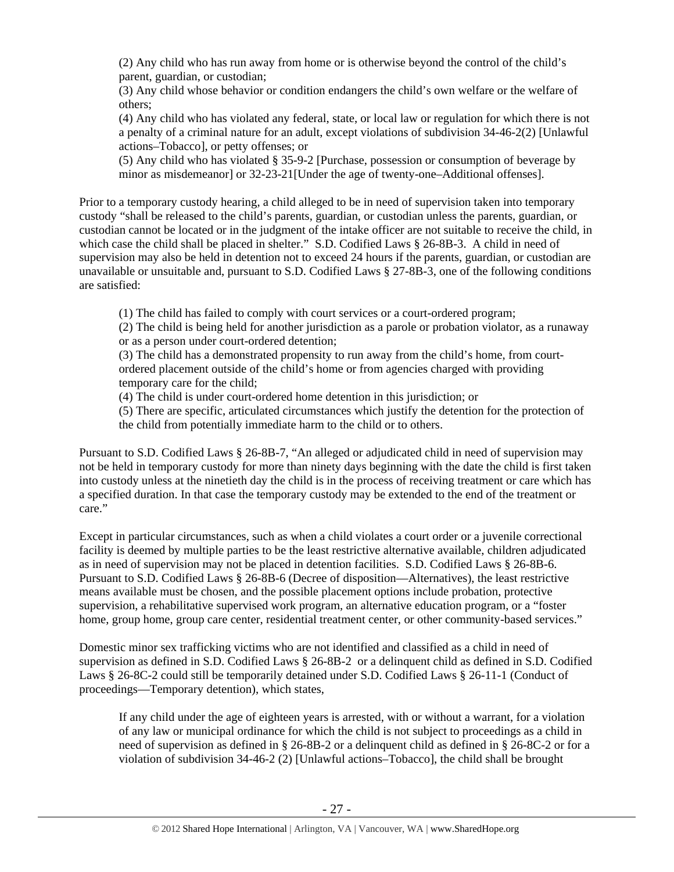(2) Any child who has run away from home or is otherwise beyond the control of the child's parent, guardian, or custodian;

(3) Any child whose behavior or condition endangers the child's own welfare or the welfare of others;

(4) Any child who has violated any federal, state, or local law or regulation for which there is not a penalty of a criminal nature for an adult, except violations of subdivision 34-46-2(2) [Unlawful actions–Tobacco], or petty offenses; or

(5) Any child who has violated § 35-9-2 [Purchase, possession or consumption of beverage by minor as misdemeanor] or 32-23-21[Under the age of twenty-one–Additional offenses].

Prior to a temporary custody hearing, a child alleged to be in need of supervision taken into temporary custody "shall be released to the child's parents, guardian, or custodian unless the parents, guardian, or custodian cannot be located or in the judgment of the intake officer are not suitable to receive the child, in which case the child shall be placed in shelter." S.D. Codified Laws § 26-8B-3. A child in need of supervision may also be held in detention not to exceed 24 hours if the parents, guardian, or custodian are unavailable or unsuitable and, pursuant to S.D. Codified Laws § 27-8B-3, one of the following conditions are satisfied:

(1) The child has failed to comply with court services or a court-ordered program;

(2) The child is being held for another jurisdiction as a parole or probation violator, as a runaway or as a person under court-ordered detention;

(3) The child has a demonstrated propensity to run away from the child's home, from courtordered placement outside of the child's home or from agencies charged with providing temporary care for the child;

(4) The child is under court-ordered home detention in this jurisdiction; or

(5) There are specific, articulated circumstances which justify the detention for the protection of the child from potentially immediate harm to the child or to others.

Pursuant to S.D. Codified Laws § 26-8B-7, "An alleged or adjudicated child in need of supervision may not be held in temporary custody for more than ninety days beginning with the date the child is first taken into custody unless at the ninetieth day the child is in the process of receiving treatment or care which has a specified duration. In that case the temporary custody may be extended to the end of the treatment or care."

Except in particular circumstances, such as when a child violates a court order or a juvenile correctional facility is deemed by multiple parties to be the least restrictive alternative available, children adjudicated as in need of supervision may not be placed in detention facilities. S.D. Codified Laws § 26-8B-6. Pursuant to S.D. Codified Laws § 26-8B-6 (Decree of disposition—Alternatives), the least restrictive means available must be chosen, and the possible placement options include probation, protective supervision, a rehabilitative supervised work program, an alternative education program, or a "foster home, group home, group care center, residential treatment center, or other community-based services."

Domestic minor sex trafficking victims who are not identified and classified as a child in need of supervision as defined in S.D. Codified Laws § 26-8B-2 or a delinquent child as defined in S.D. Codified Laws § 26-8C-2 could still be temporarily detained under S.D. Codified Laws § 26-11-1 (Conduct of proceedings—Temporary detention), which states,

If any child under the age of eighteen years is arrested, with or without a warrant, for a violation of any law or municipal ordinance for which the child is not subject to proceedings as a child in need of supervision as defined in § 26-8B-2 or a delinquent child as defined in § 26-8C-2 or for a violation of subdivision 34-46-2 (2) [Unlawful actions–Tobacco], the child shall be brought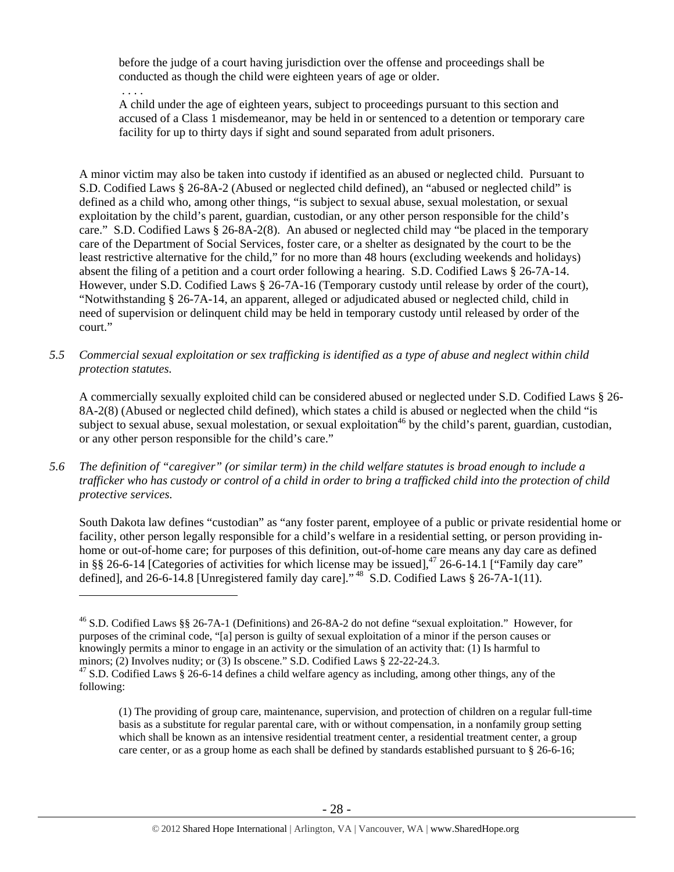before the judge of a court having jurisdiction over the offense and proceedings shall be conducted as though the child were eighteen years of age or older.

 . . . . A child under the age of eighteen years, subject to proceedings pursuant to this section and accused of a Class 1 misdemeanor, may be held in or sentenced to a detention or temporary care facility for up to thirty days if sight and sound separated from adult prisoners.

A minor victim may also be taken into custody if identified as an abused or neglected child. Pursuant to S.D. Codified Laws § 26-8A-2 (Abused or neglected child defined), an "abused or neglected child" is defined as a child who, among other things, "is subject to sexual abuse, sexual molestation, or sexual exploitation by the child's parent, guardian, custodian, or any other person responsible for the child's care." S.D. Codified Laws § 26-8A-2(8). An abused or neglected child may "be placed in the temporary care of the Department of Social Services, foster care, or a shelter as designated by the court to be the least restrictive alternative for the child," for no more than 48 hours (excluding weekends and holidays) absent the filing of a petition and a court order following a hearing. S.D. Codified Laws § 26-7A-14. However, under S.D. Codified Laws § 26-7A-16 (Temporary custody until release by order of the court), "Notwithstanding § 26-7A-14, an apparent, alleged or adjudicated abused or neglected child, child in need of supervision or delinquent child may be held in temporary custody until released by order of the court."

*5.5 Commercial sexual exploitation or sex trafficking is identified as a type of abuse and neglect within child protection statutes.*

A commercially sexually exploited child can be considered abused or neglected under S.D. Codified Laws § 26- 8A-2(8) (Abused or neglected child defined), which states a child is abused or neglected when the child "is subject to sexual abuse, sexual molestation, or sexual exploitation<sup>46</sup> by the child's parent, guardian, custodian, or any other person responsible for the child's care."

*5.6 The definition of "caregiver" (or similar term) in the child welfare statutes is broad enough to include a trafficker who has custody or control of a child in order to bring a trafficked child into the protection of child protective services.* 

South Dakota law defines "custodian" as "any foster parent, employee of a public or private residential home or facility, other person legally responsible for a child's welfare in a residential setting, or person providing inhome or out-of-home care; for purposes of this definition, out-of-home care means any day care as defined in §§ 26-6-14 [Categories of activities for which license may be issued],<sup>47</sup> 26-6-14.1 ["Family day care" defined], and 26-6-14.8 [Unregistered family day care]."<sup>48</sup> S.D. Codified Laws § 26-7A-1(11).

<sup>46</sup> S.D. Codified Laws §§ 26-7A-1 (Definitions) and 26-8A-2 do not define "sexual exploitation." However, for purposes of the criminal code, "[a] person is guilty of sexual exploitation of a minor if the person causes or knowingly permits a minor to engage in an activity or the simulation of an activity that: (1) Is harmful to minors; (2) Involves nudity; or (3) Is obscene." S.D. Codified Laws § 22-22-24.3.

<sup>&</sup>lt;sup>47</sup> S.D. Codified Laws § 26-6-14 defines a child welfare agency as including, among other things, any of the following:

<sup>(1)</sup> The providing of group care, maintenance, supervision, and protection of children on a regular full-time basis as a substitute for regular parental care, with or without compensation, in a nonfamily group setting which shall be known as an intensive residential treatment center, a residential treatment center, a group care center, or as a group home as each shall be defined by standards established pursuant to § 26-6-16;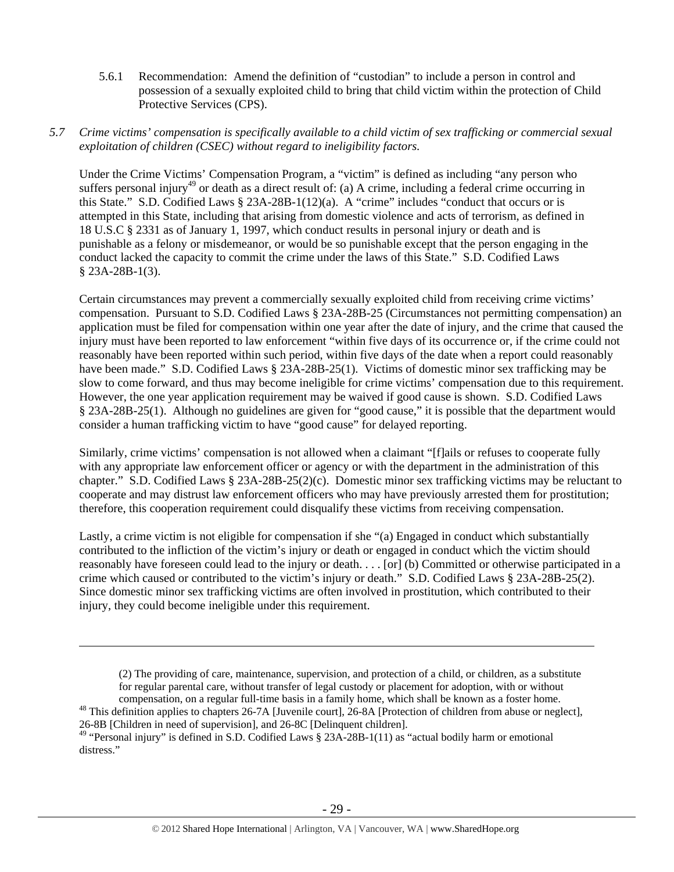- 5.6.1 Recommendation: Amend the definition of "custodian" to include a person in control and possession of a sexually exploited child to bring that child victim within the protection of Child Protective Services (CPS).
- *5.7 Crime victims' compensation is specifically available to a child victim of sex trafficking or commercial sexual exploitation of children (CSEC) without regard to ineligibility factors.*

Under the Crime Victims' Compensation Program, a "victim" is defined as including "any person who suffers personal injury<sup>49</sup> or death as a direct result of: (a) A crime, including a federal crime occurring in this State." S.D. Codified Laws § 23A-28B-1(12)(a). A "crime" includes "conduct that occurs or is attempted in this State, including that arising from domestic violence and acts of terrorism, as defined in 18 U.S.C § 2331 as of January 1, 1997, which conduct results in personal injury or death and is punishable as a felony or misdemeanor, or would be so punishable except that the person engaging in the conduct lacked the capacity to commit the crime under the laws of this State." S.D. Codified Laws § 23A-28B-1(3).

Certain circumstances may prevent a commercially sexually exploited child from receiving crime victims' compensation. Pursuant to S.D. Codified Laws § 23A-28B-25 (Circumstances not permitting compensation) an application must be filed for compensation within one year after the date of injury, and the crime that caused the injury must have been reported to law enforcement "within five days of its occurrence or, if the crime could not reasonably have been reported within such period, within five days of the date when a report could reasonably have been made." S.D. Codified Laws § 23A-28B-25(1). Victims of domestic minor sex trafficking may be slow to come forward, and thus may become ineligible for crime victims' compensation due to this requirement. However, the one year application requirement may be waived if good cause is shown. S.D. Codified Laws § 23A-28B-25(1). Although no guidelines are given for "good cause," it is possible that the department would consider a human trafficking victim to have "good cause" for delayed reporting.

Similarly, crime victims' compensation is not allowed when a claimant "[f]ails or refuses to cooperate fully with any appropriate law enforcement officer or agency or with the department in the administration of this chapter." S.D. Codified Laws § 23A-28B-25(2)(c). Domestic minor sex trafficking victims may be reluctant to cooperate and may distrust law enforcement officers who may have previously arrested them for prostitution; therefore, this cooperation requirement could disqualify these victims from receiving compensation.

Lastly, a crime victim is not eligible for compensation if she "(a) Engaged in conduct which substantially contributed to the infliction of the victim's injury or death or engaged in conduct which the victim should reasonably have foreseen could lead to the injury or death. . . . [or] (b) Committed or otherwise participated in a crime which caused or contributed to the victim's injury or death." S.D. Codified Laws § 23A-28B-25(2). Since domestic minor sex trafficking victims are often involved in prostitution, which contributed to their injury, they could become ineligible under this requirement.

<sup>(2)</sup> The providing of care, maintenance, supervision, and protection of a child, or children, as a substitute for regular parental care, without transfer of legal custody or placement for adoption, with or without

compensation, on a regular full-time basis in a family home, which shall be known as a foster home. 48 This definition applies to chapters 26-7A [Juvenile court], 26-8A [Protection of children from abuse or neglect],

<sup>26-8</sup>B [Children in need of supervision], and 26-8C [Delinquent children].

<sup>49 &</sup>quot;Personal injury" is defined in S.D. Codified Laws § 23A-28B-1(11) as "actual bodily harm or emotional distress."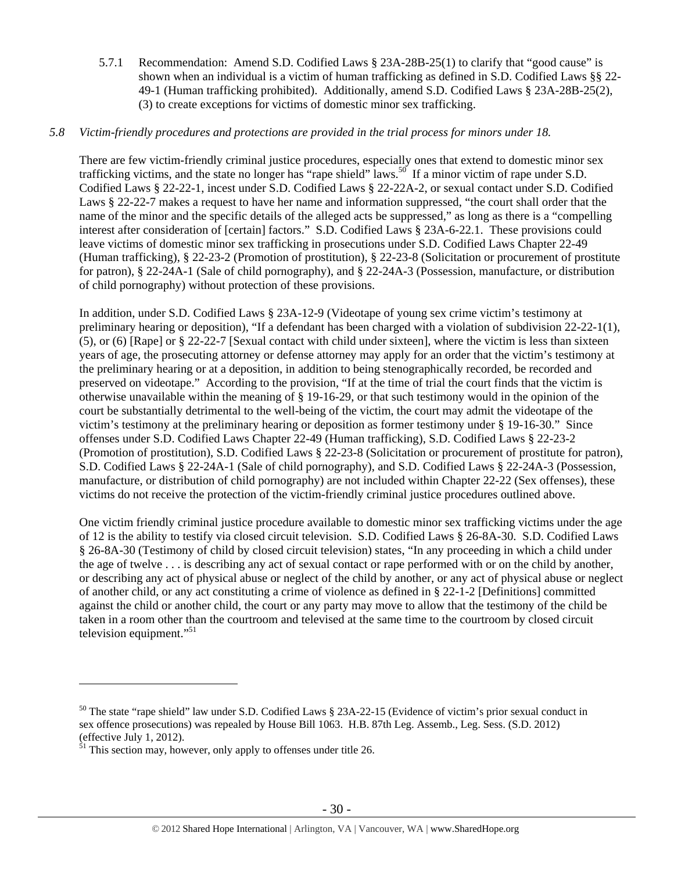5.7.1 Recommendation: Amend S.D. Codified Laws § 23A-28B-25(1) to clarify that "good cause" is shown when an individual is a victim of human trafficking as defined in S.D. Codified Laws §§ 22- 49-1 (Human trafficking prohibited). Additionally, amend S.D. Codified Laws § 23A-28B-25(2), (3) to create exceptions for victims of domestic minor sex trafficking.

## *5.8 Victim-friendly procedures and protections are provided in the trial process for minors under 18.*

There are few victim-friendly criminal justice procedures, especially ones that extend to domestic minor sex trafficking victims, and the state no longer has "rape shield" laws.<sup>50</sup> If a minor victim of rape under S.D. Codified Laws § 22-22-1, incest under S.D. Codified Laws § 22-22A-2, or sexual contact under S.D. Codified Laws § 22-22-7 makes a request to have her name and information suppressed, "the court shall order that the name of the minor and the specific details of the alleged acts be suppressed," as long as there is a "compelling interest after consideration of [certain] factors." S.D. Codified Laws § 23A-6-22.1. These provisions could leave victims of domestic minor sex trafficking in prosecutions under S.D. Codified Laws Chapter 22-49 (Human trafficking), § 22-23-2 (Promotion of prostitution), § 22-23-8 (Solicitation or procurement of prostitute for patron), § 22-24A-1 (Sale of child pornography), and § 22-24A-3 (Possession, manufacture, or distribution of child pornography) without protection of these provisions.

In addition, under S.D. Codified Laws § 23A-12-9 (Videotape of young sex crime victim's testimony at preliminary hearing or deposition), "If a defendant has been charged with a violation of subdivision 22-22-1(1), (5), or (6) [Rape] or § 22-22-7 [Sexual contact with child under sixteen], where the victim is less than sixteen years of age, the prosecuting attorney or defense attorney may apply for an order that the victim's testimony at the preliminary hearing or at a deposition, in addition to being stenographically recorded, be recorded and preserved on videotape." According to the provision, "If at the time of trial the court finds that the victim is otherwise unavailable within the meaning of § 19-16-29, or that such testimony would in the opinion of the court be substantially detrimental to the well-being of the victim, the court may admit the videotape of the victim's testimony at the preliminary hearing or deposition as former testimony under § 19-16-30." Since offenses under S.D. Codified Laws Chapter 22-49 (Human trafficking), S.D. Codified Laws § 22-23-2 (Promotion of prostitution), S.D. Codified Laws § 22-23-8 (Solicitation or procurement of prostitute for patron), S.D. Codified Laws § 22-24A-1 (Sale of child pornography), and S.D. Codified Laws § 22-24A-3 (Possession, manufacture, or distribution of child pornography) are not included within Chapter 22-22 (Sex offenses), these victims do not receive the protection of the victim-friendly criminal justice procedures outlined above.

One victim friendly criminal justice procedure available to domestic minor sex trafficking victims under the age of 12 is the ability to testify via closed circuit television. S.D. Codified Laws § 26-8A-30. S.D. Codified Laws § 26-8A-30 (Testimony of child by closed circuit television) states, "In any proceeding in which a child under the age of twelve . . . is describing any act of sexual contact or rape performed with or on the child by another, or describing any act of physical abuse or neglect of the child by another, or any act of physical abuse or neglect of another child, or any act constituting a crime of violence as defined in § 22-1-2 [Definitions] committed against the child or another child, the court or any party may move to allow that the testimony of the child be taken in a room other than the courtroom and televised at the same time to the courtroom by closed circuit television equipment."51

<sup>&</sup>lt;sup>50</sup> The state "rape shield" law under S.D. Codified Laws § 23A-22-15 (Evidence of victim's prior sexual conduct in sex offence prosecutions) was repealed by House Bill 1063. H.B. 87th Leg. Assemb., Leg. Sess. (S.D. 2012) (effective July 1, 2012).

 $<sup>51</sup>$  This section may, however, only apply to offenses under title 26.</sup>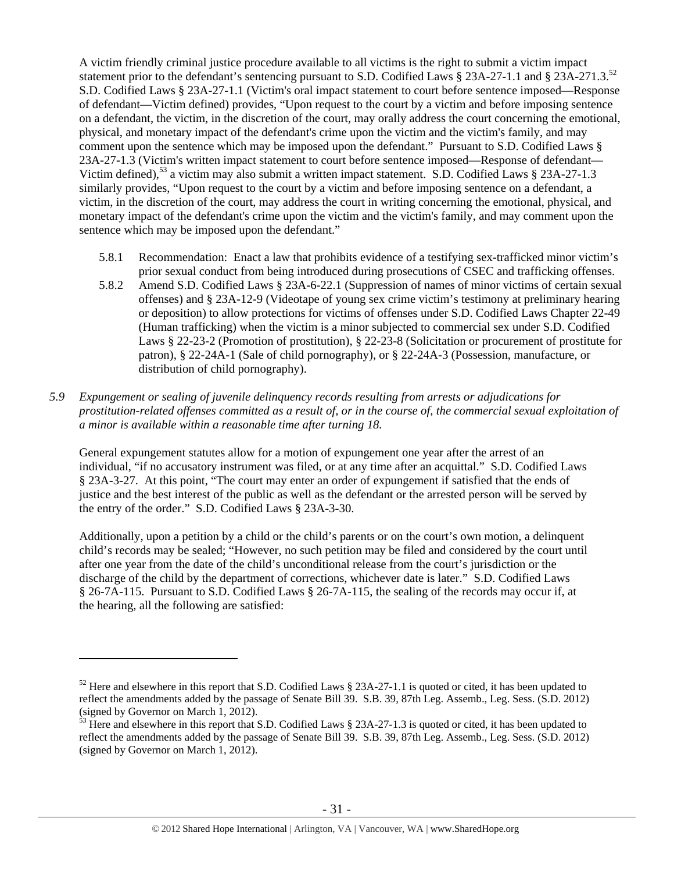A victim friendly criminal justice procedure available to all victims is the right to submit a victim impact statement prior to the defendant's sentencing pursuant to S.D. Codified Laws § 23A-27-1.1 and § 23A-271.3.<sup>52</sup> S.D. Codified Laws § 23A-27-1.1 (Victim's oral impact statement to court before sentence imposed—Response of defendant—Victim defined) provides, "Upon request to the court by a victim and before imposing sentence on a defendant, the victim, in the discretion of the court, may orally address the court concerning the emotional, physical, and monetary impact of the defendant's crime upon the victim and the victim's family, and may comment upon the sentence which may be imposed upon the defendant." Pursuant to S.D. Codified Laws § 23A-27-1.3 (Victim's written impact statement to court before sentence imposed—Response of defendant— Victim defined),<sup>53</sup> a victim may also submit a written impact statement. S.D. Codified Laws § 23A-27-1.3 similarly provides, "Upon request to the court by a victim and before imposing sentence on a defendant, a victim, in the discretion of the court, may address the court in writing concerning the emotional, physical, and monetary impact of the defendant's crime upon the victim and the victim's family, and may comment upon the sentence which may be imposed upon the defendant."

- 5.8.1 Recommendation: Enact a law that prohibits evidence of a testifying sex-trafficked minor victim's prior sexual conduct from being introduced during prosecutions of CSEC and trafficking offenses.
- 5.8.2 Amend S.D. Codified Laws § 23A-6-22.1 (Suppression of names of minor victims of certain sexual offenses) and § 23A-12-9 (Videotape of young sex crime victim's testimony at preliminary hearing or deposition) to allow protections for victims of offenses under S.D. Codified Laws Chapter 22-49 (Human trafficking) when the victim is a minor subjected to commercial sex under S.D. Codified Laws § 22-23-2 (Promotion of prostitution), § 22-23-8 (Solicitation or procurement of prostitute for patron), § 22-24A-1 (Sale of child pornography), or § 22-24A-3 (Possession, manufacture, or distribution of child pornography).
- *5.9 Expungement or sealing of juvenile delinquency records resulting from arrests or adjudications for prostitution-related offenses committed as a result of, or in the course of, the commercial sexual exploitation of a minor is available within a reasonable time after turning 18.*

General expungement statutes allow for a motion of expungement one year after the arrest of an individual, "if no accusatory instrument was filed, or at any time after an acquittal." S.D. Codified Laws § 23A-3-27. At this point, "The court may enter an order of expungement if satisfied that the ends of justice and the best interest of the public as well as the defendant or the arrested person will be served by the entry of the order." S.D. Codified Laws § 23A-3-30.

Additionally, upon a petition by a child or the child's parents or on the court's own motion, a delinquent child's records may be sealed; "However, no such petition may be filed and considered by the court until after one year from the date of the child's unconditional release from the court's jurisdiction or the discharge of the child by the department of corrections, whichever date is later." S.D. Codified Laws § 26-7A-115. Pursuant to S.D. Codified Laws § 26-7A-115, the sealing of the records may occur if, at the hearing, all the following are satisfied:

 $52$  Here and elsewhere in this report that S.D. Codified Laws § 23A-27-1.1 is quoted or cited, it has been updated to reflect the amendments added by the passage of Senate Bill 39. S.B. 39, 87th Leg. Assemb., Leg. Sess. (S.D. 2012) (signed by Governor on March 1, 2012).

 $\frac{53}{3}$  Here and elsewhere in this report that S.D. Codified Laws § 23A-27-1.3 is quoted or cited, it has been updated to reflect the amendments added by the passage of Senate Bill 39. S.B. 39, 87th Leg. Assemb., Leg. Sess. (S.D. 2012) (signed by Governor on March 1, 2012).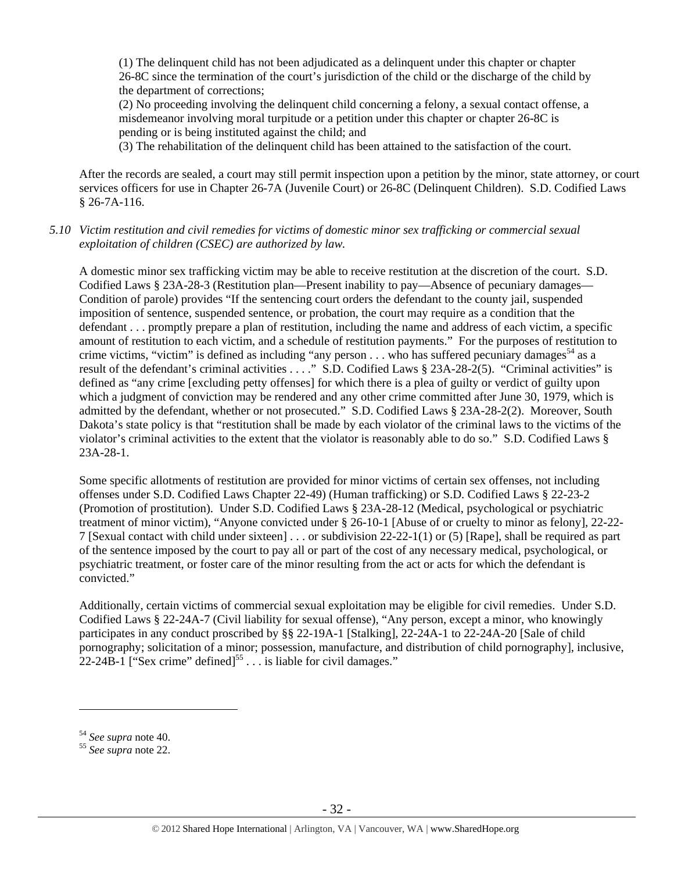(1) The delinquent child has not been adjudicated as a delinquent under this chapter or chapter 26-8C since the termination of the court's jurisdiction of the child or the discharge of the child by the department of corrections;

(2) No proceeding involving the delinquent child concerning a felony, a sexual contact offense, a misdemeanor involving moral turpitude or a petition under this chapter or chapter 26-8C is pending or is being instituted against the child; and

(3) The rehabilitation of the delinquent child has been attained to the satisfaction of the court.

After the records are sealed, a court may still permit inspection upon a petition by the minor, state attorney, or court services officers for use in Chapter 26-7A (Juvenile Court) or 26-8C (Delinquent Children). S.D. Codified Laws § 26-7A-116.

*5.10 Victim restitution and civil remedies for victims of domestic minor sex trafficking or commercial sexual exploitation of children (CSEC) are authorized by law.* 

A domestic minor sex trafficking victim may be able to receive restitution at the discretion of the court. S.D. Codified Laws § 23A-28-3 (Restitution plan—Present inability to pay—Absence of pecuniary damages— Condition of parole) provides "If the sentencing court orders the defendant to the county jail, suspended imposition of sentence, suspended sentence, or probation, the court may require as a condition that the defendant . . . promptly prepare a plan of restitution, including the name and address of each victim, a specific amount of restitution to each victim, and a schedule of restitution payments." For the purposes of restitution to crime victims, "victim" is defined as including "any person . . . who has suffered pecuniary damages<sup>54</sup> as a result of the defendant's criminal activities . . . ." S.D. Codified Laws § 23A-28-2(5). "Criminal activities" is defined as "any crime [excluding petty offenses] for which there is a plea of guilty or verdict of guilty upon which a judgment of conviction may be rendered and any other crime committed after June 30, 1979, which is admitted by the defendant, whether or not prosecuted." S.D. Codified Laws § 23A-28-2(2). Moreover, South Dakota's state policy is that "restitution shall be made by each violator of the criminal laws to the victims of the violator's criminal activities to the extent that the violator is reasonably able to do so." S.D. Codified Laws § 23A-28-1.

Some specific allotments of restitution are provided for minor victims of certain sex offenses, not including offenses under S.D. Codified Laws Chapter 22-49) (Human trafficking) or S.D. Codified Laws § 22-23-2 (Promotion of prostitution). Under S.D. Codified Laws § 23A-28-12 (Medical, psychological or psychiatric treatment of minor victim), "Anyone convicted under § 26-10-1 [Abuse of or cruelty to minor as felony], 22-22- 7 [Sexual contact with child under sixteen] . . . or subdivision 22-22-1(1) or (5) [Rape], shall be required as part of the sentence imposed by the court to pay all or part of the cost of any necessary medical, psychological, or psychiatric treatment, or foster care of the minor resulting from the act or acts for which the defendant is convicted."

Additionally, certain victims of commercial sexual exploitation may be eligible for civil remedies. Under S.D. Codified Laws § 22-24A-7 (Civil liability for sexual offense), "Any person, except a minor, who knowingly participates in any conduct proscribed by §§ 22-19A-1 [Stalking], 22-24A-1 to 22-24A-20 [Sale of child pornography; solicitation of a minor; possession, manufacture, and distribution of child pornography], inclusive,  $22-24B-1$  ["Sex crime" defined]<sup>55</sup> . . . is liable for civil damages."

<sup>54</sup> *See supra* note 40. 55 *See supra* note 22.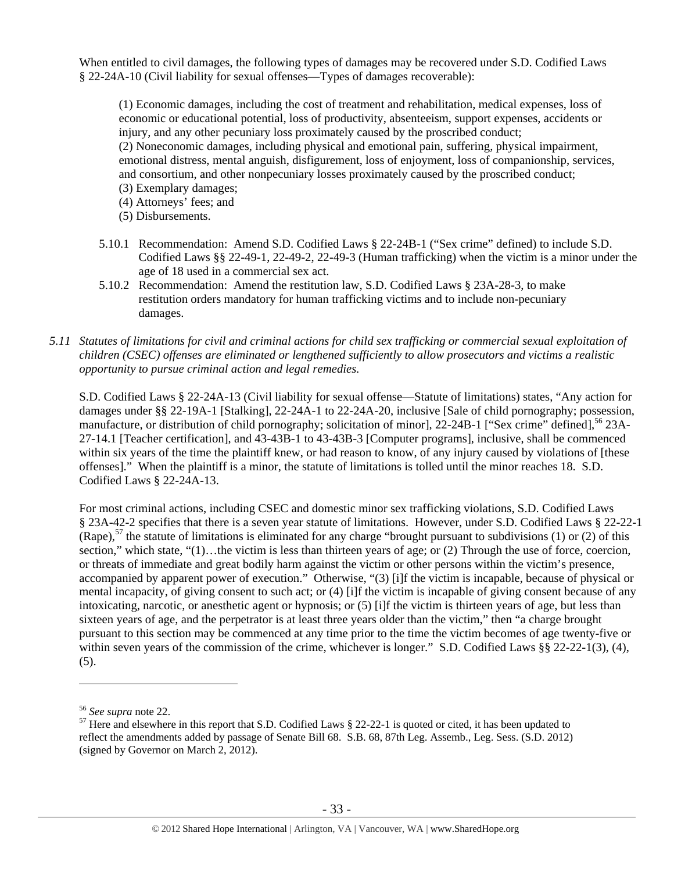When entitled to civil damages, the following types of damages may be recovered under S.D. Codified Laws § 22-24A-10 (Civil liability for sexual offenses—Types of damages recoverable):

(1) Economic damages, including the cost of treatment and rehabilitation, medical expenses, loss of economic or educational potential, loss of productivity, absenteeism, support expenses, accidents or injury, and any other pecuniary loss proximately caused by the proscribed conduct; (2) Noneconomic damages, including physical and emotional pain, suffering, physical impairment, emotional distress, mental anguish, disfigurement, loss of enjoyment, loss of companionship, services, and consortium, and other nonpecuniary losses proximately caused by the proscribed conduct; (3) Exemplary damages;

- (4) Attorneys' fees; and
- (5) Disbursements.
- 5.10.1 Recommendation: Amend S.D. Codified Laws § 22-24B-1 ("Sex crime" defined) to include S.D. Codified Laws §§ 22-49-1, 22-49-2, 22-49-3 (Human trafficking) when the victim is a minor under the age of 18 used in a commercial sex act.
- 5.10.2 Recommendation: Amend the restitution law, S.D. Codified Laws § 23A-28-3, to make restitution orders mandatory for human trafficking victims and to include non-pecuniary damages.
- *5.11 Statutes of limitations for civil and criminal actions for child sex trafficking or commercial sexual exploitation of children (CSEC) offenses are eliminated or lengthened sufficiently to allow prosecutors and victims a realistic opportunity to pursue criminal action and legal remedies.*

S.D. Codified Laws § 22-24A-13 (Civil liability for sexual offense—Statute of limitations) states, "Any action for damages under §§ 22-19A-1 [Stalking], 22-24A-1 to 22-24A-20, inclusive [Sale of child pornography; possession, manufacture, or distribution of child pornography; solicitation of minor], 22-24B-1 ["Sex crime" defined],<sup>56</sup> 23A-27-14.1 [Teacher certification], and 43-43B-1 to 43-43B-3 [Computer programs], inclusive, shall be commenced within six years of the time the plaintiff knew, or had reason to know, of any injury caused by violations of [these offenses]." When the plaintiff is a minor, the statute of limitations is tolled until the minor reaches 18. S.D. Codified Laws § 22-24A-13.

For most criminal actions, including CSEC and domestic minor sex trafficking violations, S.D. Codified Laws § 23A-42-2 specifies that there is a seven year statute of limitations. However, under S.D. Codified Laws § 22-22-1 (Rape),<sup>57</sup> the statute of limitations is eliminated for any charge "brought pursuant to subdivisions (1) or (2) of this section," which state, " $(1)$ ... the victim is less than thirteen years of age; or  $(2)$  Through the use of force, coercion, or threats of immediate and great bodily harm against the victim or other persons within the victim's presence, accompanied by apparent power of execution." Otherwise, "(3) [i]f the victim is incapable, because of physical or mental incapacity, of giving consent to such act; or (4) [i]f the victim is incapable of giving consent because of any intoxicating, narcotic, or anesthetic agent or hypnosis; or (5) [i]f the victim is thirteen years of age, but less than sixteen years of age, and the perpetrator is at least three years older than the victim," then "a charge brought pursuant to this section may be commenced at any time prior to the time the victim becomes of age twenty-five or within seven years of the commission of the crime, whichever is longer." S.D. Codified Laws §§ 22-22-1(3), (4), (5).

<sup>&</sup>lt;sup>56</sup> See supra note 22.<br><sup>57</sup> Here and elsewhere in this report that S.D. Codified Laws § 22-22-1 is quoted or cited, it has been updated to reflect the amendments added by passage of Senate Bill 68. S.B. 68, 87th Leg. Assemb., Leg. Sess. (S.D. 2012) (signed by Governor on March 2, 2012).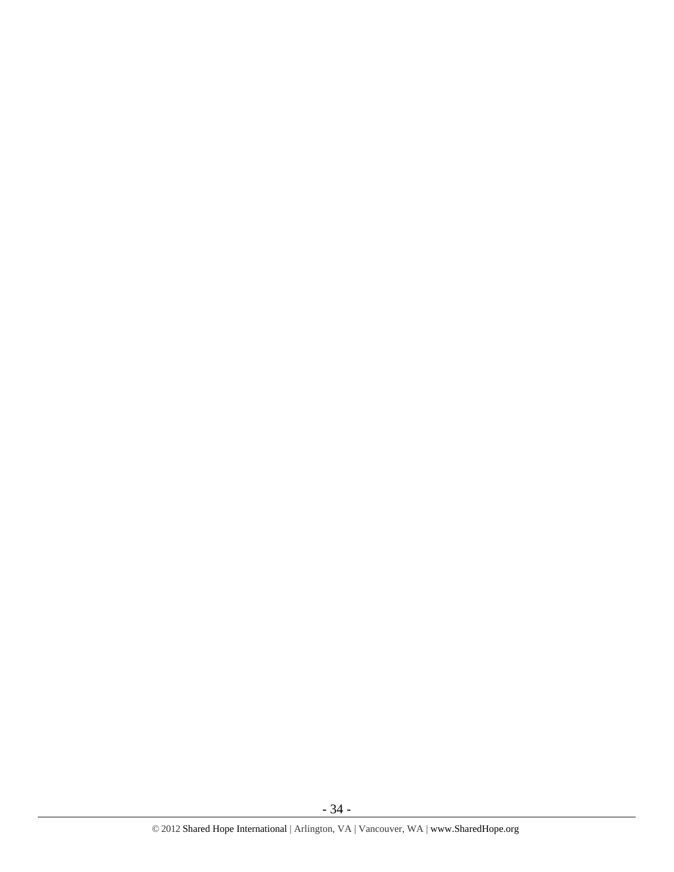# $\copyright$  2012 Shared Hope International | Arlington, VA | Vancouver, WA | www.SharedHope.org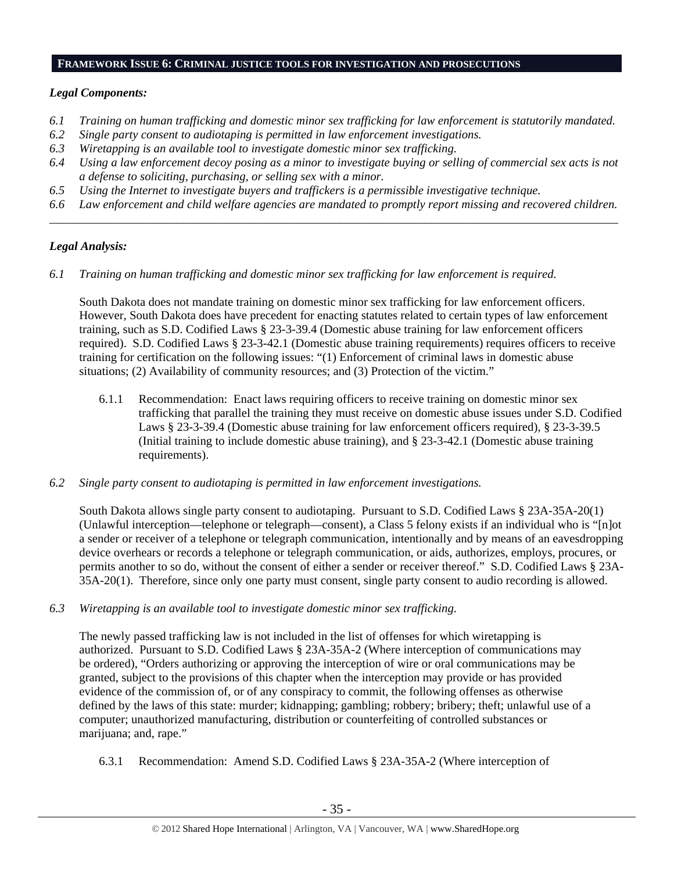#### **FRAMEWORK ISSUE 6: CRIMINAL JUSTICE TOOLS FOR INVESTIGATION AND PROSECUTIONS**

# *Legal Components:*

- *6.1 Training on human trafficking and domestic minor sex trafficking for law enforcement is statutorily mandated.*
- *6.2 Single party consent to audiotaping is permitted in law enforcement investigations.*
- *6.3 Wiretapping is an available tool to investigate domestic minor sex trafficking.*
- *6.4 Using a law enforcement decoy posing as a minor to investigate buying or selling of commercial sex acts is not a defense to soliciting, purchasing, or selling sex with a minor.*
- *6.5 Using the Internet to investigate buyers and traffickers is a permissible investigative technique.*
- *6.6 Law enforcement and child welfare agencies are mandated to promptly report missing and recovered children. \_\_\_\_\_\_\_\_\_\_\_\_\_\_\_\_\_\_\_\_\_\_\_\_\_\_\_\_\_\_\_\_\_\_\_\_\_\_\_\_\_\_\_\_\_\_\_\_\_\_\_\_\_\_\_\_\_\_\_\_\_\_\_\_\_\_\_\_\_\_\_\_\_\_\_\_\_\_\_\_\_\_\_\_\_\_\_\_\_\_\_\_\_\_*

# *Legal Analysis:*

*6.1 Training on human trafficking and domestic minor sex trafficking for law enforcement is required.*

South Dakota does not mandate training on domestic minor sex trafficking for law enforcement officers. However, South Dakota does have precedent for enacting statutes related to certain types of law enforcement training, such as S.D. Codified Laws § 23-3-39.4 (Domestic abuse training for law enforcement officers required). S.D. Codified Laws § 23-3-42.1 (Domestic abuse training requirements) requires officers to receive training for certification on the following issues: "(1) Enforcement of criminal laws in domestic abuse situations; (2) Availability of community resources; and (3) Protection of the victim."

- 6.1.1 Recommendation: Enact laws requiring officers to receive training on domestic minor sex trafficking that parallel the training they must receive on domestic abuse issues under S.D. Codified Laws § 23-3-39.4 (Domestic abuse training for law enforcement officers required), § 23-3-39.5 (Initial training to include domestic abuse training), and § 23-3-42.1 (Domestic abuse training requirements).
- *6.2 Single party consent to audiotaping is permitted in law enforcement investigations.*

South Dakota allows single party consent to audiotaping. Pursuant to S.D. Codified Laws § 23A-35A-20(1) (Unlawful interception—telephone or telegraph—consent), a Class 5 felony exists if an individual who is "[n]ot a sender or receiver of a telephone or telegraph communication, intentionally and by means of an eavesdropping device overhears or records a telephone or telegraph communication, or aids, authorizes, employs, procures, or permits another to so do, without the consent of either a sender or receiver thereof." S.D. Codified Laws § 23A-35A-20(1). Therefore, since only one party must consent, single party consent to audio recording is allowed.

*6.3 Wiretapping is an available tool to investigate domestic minor sex trafficking.* 

The newly passed trafficking law is not included in the list of offenses for which wiretapping is authorized. Pursuant to S.D. Codified Laws § 23A-35A-2 (Where interception of communications may be ordered), "Orders authorizing or approving the interception of wire or oral communications may be granted, subject to the provisions of this chapter when the interception may provide or has provided evidence of the commission of, or of any conspiracy to commit, the following offenses as otherwise defined by the laws of this state: murder; kidnapping; gambling; robbery; bribery; theft; unlawful use of a computer; unauthorized manufacturing, distribution or counterfeiting of controlled substances or marijuana; and, rape."

6.3.1 Recommendation: Amend S.D. Codified Laws § 23A-35A-2 (Where interception of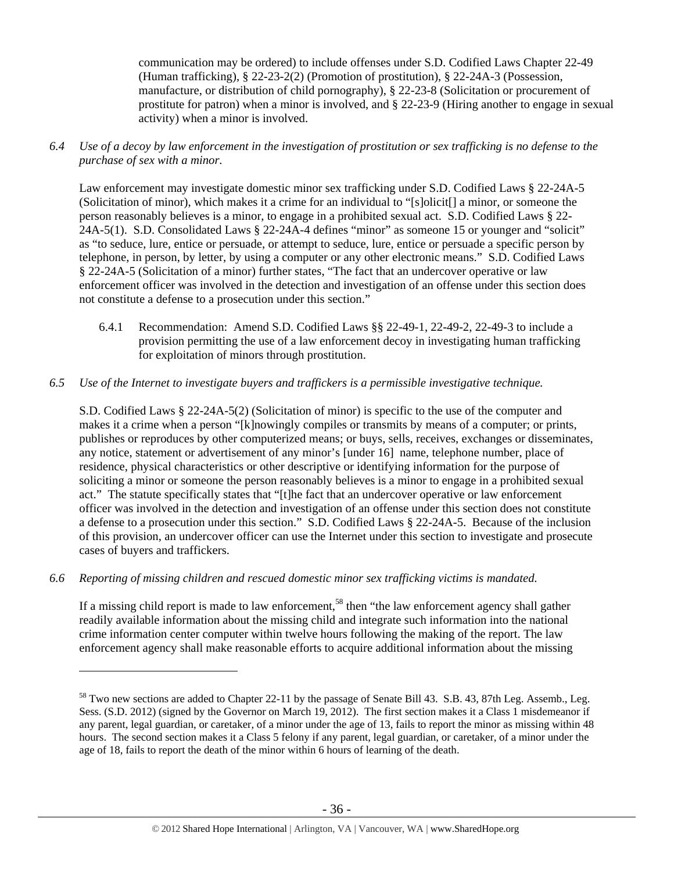communication may be ordered) to include offenses under S.D. Codified Laws Chapter 22-49 (Human trafficking), § 22-23-2(2) (Promotion of prostitution), § 22-24A-3 (Possession, manufacture, or distribution of child pornography), § 22-23-8 (Solicitation or procurement of prostitute for patron) when a minor is involved, and § 22-23-9 (Hiring another to engage in sexual activity) when a minor is involved.

*6.4 Use of a decoy by law enforcement in the investigation of prostitution or sex trafficking is no defense to the purchase of sex with a minor.* 

Law enforcement may investigate domestic minor sex trafficking under S.D. Codified Laws § 22-24A-5 (Solicitation of minor), which makes it a crime for an individual to "[s]olicit[] a minor, or someone the person reasonably believes is a minor, to engage in a prohibited sexual act. S.D. Codified Laws § 22- 24A-5(1). S.D. Consolidated Laws § 22-24A-4 defines "minor" as someone 15 or younger and "solicit" as "to seduce, lure, entice or persuade, or attempt to seduce, lure, entice or persuade a specific person by telephone, in person, by letter, by using a computer or any other electronic means." S.D. Codified Laws § 22-24A-5 (Solicitation of a minor) further states, "The fact that an undercover operative or law enforcement officer was involved in the detection and investigation of an offense under this section does not constitute a defense to a prosecution under this section."

- 6.4.1 Recommendation: Amend S.D. Codified Laws §§ 22-49-1, 22-49-2, 22-49-3 to include a provision permitting the use of a law enforcement decoy in investigating human trafficking for exploitation of minors through prostitution.
- *6.5 Use of the Internet to investigate buyers and traffickers is a permissible investigative technique.*

S.D. Codified Laws § 22-24A-5(2) (Solicitation of minor) is specific to the use of the computer and makes it a crime when a person "[k]nowingly compiles or transmits by means of a computer; or prints, publishes or reproduces by other computerized means; or buys, sells, receives, exchanges or disseminates, any notice, statement or advertisement of any minor's [under 16] name, telephone number, place of residence, physical characteristics or other descriptive or identifying information for the purpose of soliciting a minor or someone the person reasonably believes is a minor to engage in a prohibited sexual act." The statute specifically states that "[t]he fact that an undercover operative or law enforcement officer was involved in the detection and investigation of an offense under this section does not constitute a defense to a prosecution under this section." S.D. Codified Laws § 22-24A-5. Because of the inclusion of this provision, an undercover officer can use the Internet under this section to investigate and prosecute cases of buyers and traffickers.

*6.6 Reporting of missing children and rescued domestic minor sex trafficking victims is mandated.* 

 $\overline{a}$ 

If a missing child report is made to law enforcement,<sup>58</sup> then "the law enforcement agency shall gather readily available information about the missing child and integrate such information into the national crime information center computer within twelve hours following the making of the report. The law enforcement agency shall make reasonable efforts to acquire additional information about the missing

<sup>&</sup>lt;sup>58</sup> Two new sections are added to Chapter 22-11 by the passage of Senate Bill 43. S.B. 43, 87th Leg. Assemb., Leg. Sess. (S.D. 2012) (signed by the Governor on March 19, 2012). The first section makes it a Class 1 misdemeanor if any parent, legal guardian, or caretaker, of a minor under the age of 13, fails to report the minor as missing within 48 hours. The second section makes it a Class 5 felony if any parent, legal guardian, or caretaker, of a minor under the age of 18, fails to report the death of the minor within 6 hours of learning of the death.